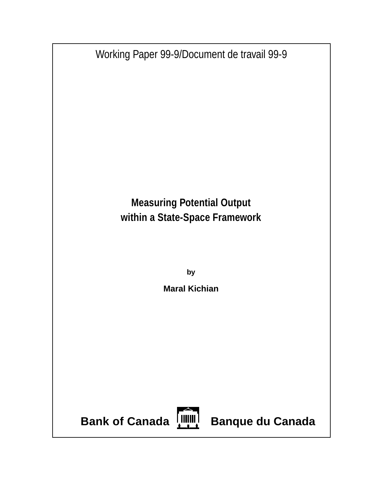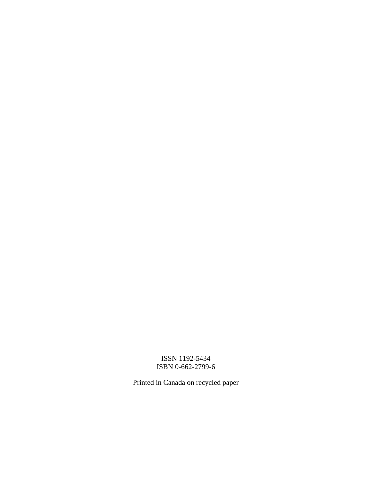# ISSN 1192-5434 ISBN 0-662-2799-6

Printed in Canada on recycled paper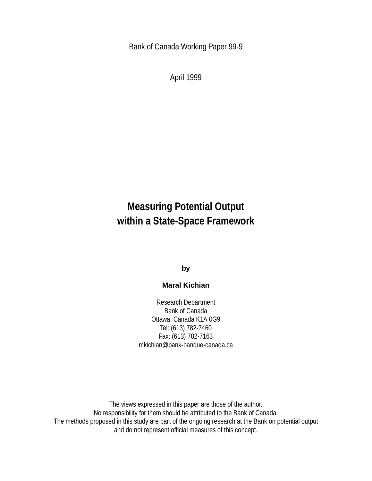Bank of Canada Working Paper 99-9

April 1999

# **Measuring Potential Output within a State-Space Framework**

**by**

## **Maral Kichian**

Research Department Bank of Canada Ottawa, Canada K1A 0G9 Tel: (613) 782-7460 Fax: (613) 782-7163 mkichian@bank-banque-canada.ca

The views expressed in this paper are those of the author. No responsibility for them should be attributed to the Bank of Canada. The methods proposed in this study are part of the ongoing research at the Bank on potential output and do not represent official measures of this concept.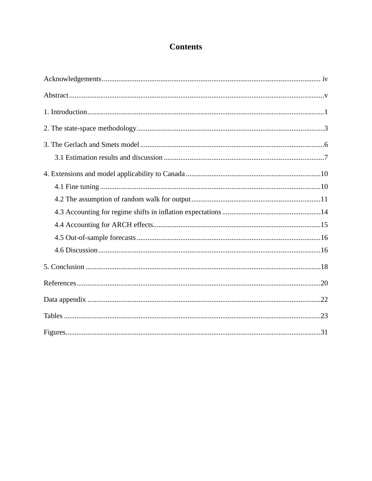# **Contents**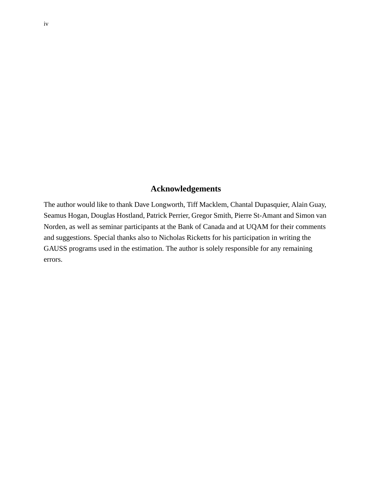### **Acknowledgements**

The author would like to thank Dave Longworth, Tiff Macklem, Chantal Dupasquier, Alain Guay, Seamus Hogan, Douglas Hostland, Patrick Perrier, Gregor Smith, Pierre St-Amant and Simon van Norden, as well as seminar participants at the Bank of Canada and at UQAM for their comments and suggestions. Special thanks also to Nicholas Ricketts for his participation in writing the GAUSS programs used in the estimation. The author is solely responsible for any remaining errors.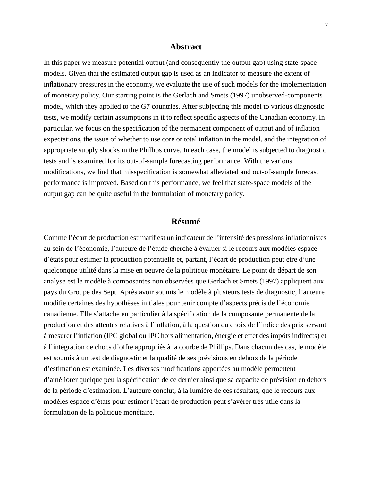#### **Abstract**

In this paper we measure potential output (and consequently the output gap) using state-space models. Given that the estimated output gap is used as an indicator to measure the extent of inflationary pressures in the economy, we evaluate the use of such models for the implementation of monetary policy. Our starting point is the Gerlach and Smets (1997) unobserved-components model, which they applied to the G7 countries. After subjecting this model to various diagnostic tests, we modify certain assumptions in it to reflect specific aspects of the Canadian economy. In particular, we focus on the specification of the permanent component of output and of inflation expectations, the issue of whether to use core or total inflation in the model, and the integration of appropriate supply shocks in the Phillips curve. In each case, the model is subjected to diagnostic tests and is examined for its out-of-sample forecasting performance. With the various modifications, we find that misspecification is somewhat alleviated and out-of-sample forecast performance is improved. Based on this performance, we feel that state-space models of the output gap can be quite useful in the formulation of monetary policy.

#### **Résumé**

Comme l'écart de production estimatif est un indicateur de l'intensité des pressions inflationnistes au sein de l'économie, l'auteure de l'étude cherche à évaluer si le recours aux modèles espace d'états pour estimer la production potentielle et, partant, l'écart de production peut être d'une quelconque utilité dans la mise en oeuvre de la politique monétaire. Le point de départ de son analyse est le modèle à composantes non observées que Gerlach et Smets (1997) appliquent aux pays du Groupe des Sept. Après avoir soumis le modèle à plusieurs tests de diagnostic, l'auteure modifie certaines des hypothèses initiales pour tenir compte d'aspects précis de l'économie canadienne. Elle s'attache en particulier à la spécification de la composante permanente de la production et des attentes relatives à l'inflation, à la question du choix de l'indice des prix servant à mesurer l'inflation (IPC global ou IPC hors alimentation, énergie et effet des impôts indirects) et à l'intégration de chocs d'offre appropriés à la courbe de Phillips. Dans chacun des cas, le modèle est soumis à un test de diagnostic et la qualité de ses prévisions en dehors de la période d'estimation est examinée. Les diverses modifications apportées au modèle permettent d'améliorer quelque peu la spécification de ce dernier ainsi que sa capacité de prévision en dehors de la période d'estimation. L'auteure conclut, à la lumière de ces résultats, que le recours aux modèles espace d'états pour estimer l'écart de production peut s'avérer très utile dans la formulation de la politique monétaire.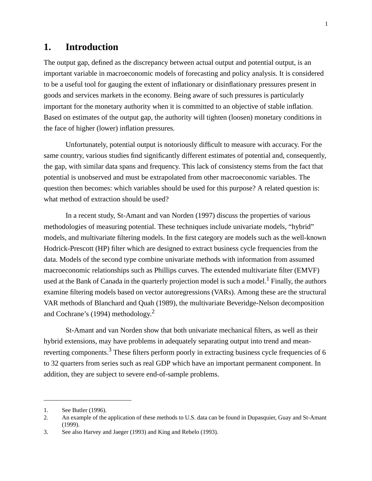# **1. Introduction**

The output gap, defined as the discrepancy between actual output and potential output, is an important variable in macroeconomic models of forecasting and policy analysis. It is considered to be a useful tool for gauging the extent of inflationary or disinflationary pressures present in goods and services markets in the economy. Being aware of such pressures is particularly important for the monetary authority when it is committed to an objective of stable inflation. Based on estimates of the output gap, the authority will tighten (loosen) monetary conditions in the face of higher (lower) inflation pressures.

Unfortunately, potential output is notoriously difficult to measure with accuracy. For the same country, various studies find significantly different estimates of potential and, consequently, the gap, with similar data spans and frequency. This lack of consistency stems from the fact that potential is unobserved and must be extrapolated from other macroeconomic variables. The question then becomes: which variables should be used for this purpose? A related question is: what method of extraction should be used?

In a recent study, St-Amant and van Norden (1997) discuss the properties of various methodologies of measuring potential. These techniques include univariate models, "hybrid" models, and multivariate filtering models. In the first category are models such as the well-known Hodrick-Prescott (HP) filter which are designed to extract business cycle frequencies from the data. Models of the second type combine univariate methods with information from assumed macroeconomic relationships such as Phillips curves. The extended multivariate filter (EMVF) used at the Bank of Canada in the quarterly projection model is such a model.<sup>1</sup> Finally, the authors examine filtering models based on vector autoregressions (VARs). Among these are the structural VAR methods of Blanchard and Quah (1989), the multivariate Beveridge-Nelson decomposition and Cochrane's (1994) methodology.<sup>2</sup>

St-Amant and van Norden show that both univariate mechanical filters, as well as their hybrid extensions, may have problems in adequately separating output into trend and meanreverting components.<sup>3</sup> These filters perform poorly in extracting business cycle frequencies of 6 to 32 quarters from series such as real GDP which have an important permanent component. In addition, they are subject to severe end-of-sample problems.

<sup>1.</sup> See Butler (1996).

<sup>2.</sup> An example of the application of these methods to U.S. data can be found in Dupasquier, Guay and St-Amant (1999).

<sup>3.</sup> See also Harvey and Jaeger (1993) and King and Rebelo (1993).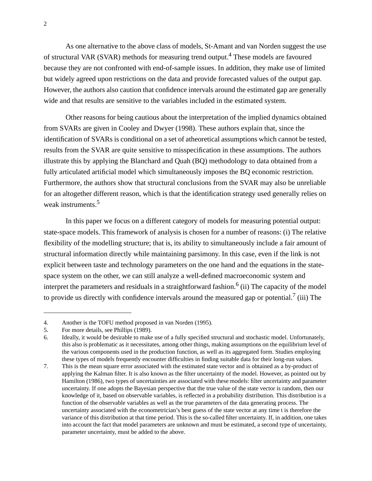As one alternative to the above class of models, St-Amant and van Norden suggest the use of structural VAR (SVAR) methods for measuring trend output.4 These models are favoured because they are not confronted with end-of-sample issues. In addition, they make use of limited but widely agreed upon restrictions on the data and provide forecasted values of the output gap. However, the authors also caution that confidence intervals around the estimated gap are generally wide and that results are sensitive to the variables included in the estimated system.

Other reasons for being cautious about the interpretation of the implied dynamics obtained from SVARs are given in Cooley and Dwyer (1998). These authors explain that, since the identification of SVARs is conditional on a set of atheoretical assumptions which cannot be tested, results from the SVAR are quite sensitive to misspecification in these assumptions. The authors illustrate this by applying the Blanchard and Quah (BQ) methodology to data obtained from a fully articulated artificial model which simultaneously imposes the BQ economic restriction. Furthermore, the authors show that structural conclusions from the SVAR may also be unreliable for an altogether different reason, which is that the identification strategy used generally relies on weak instruments.<sup>5</sup>

In this paper we focus on a different category of models for measuring potential output: state-space models. This framework of analysis is chosen for a number of reasons: (i) The relative flexibility of the modelling structure; that is, its ability to simultaneously include a fair amount of structural information directly while maintaining parsimony. In this case, even if the link is not explicit between taste and technology parameters on the one hand and the equations in the statespace system on the other, we can still analyze a well-defined macroeconomic system and interpret the parameters and residuals in a straightforward fashion.<sup>6</sup> (ii) The capacity of the model to provide us directly with confidence intervals around the measured gap or potential.<sup>7</sup> (iii) The

<sup>4.</sup> Another is the TOFU method proposed in van Norden (1995).

<sup>5.</sup> For more details, see Phillips (1989).

<sup>6.</sup> Ideally, it would be desirable to make use of a fully specified structural and stochastic model. Unfortunately, this also is problematic as it necessitates, among other things, making assumptions on the equilibrium level of the various components used in the production function, as well as its aggregated form. Studies employing these types of models frequently encounter difficulties in finding suitable data for their long-run values.

<sup>7.</sup> This is the mean square error associated with the estimated state vector and is obtained as a by-product of applying the Kalman filter. It is also known as the filter uncertainty of the model. However, as pointed out by Hamilton (1986), two types of uncertainties are associated with these models: filter uncertainty and parameter uncertainty. If one adopts the Bayesian perspective that the true value of the state vector is random, then our knowledge of it, based on observable variables, is reflected in a probability distribution. This distribution is a function of the observable variables as well as the true parameters of the data generating process. The uncertainty associated with the econometrician's best guess of the state vector at any time t is therefore the variance of this distribution at that time period. This is the so-called filter uncertainty. If, in addition, one takes into account the fact that model parameters are unknown and must be estimated, a second type of uncertainty, parameter uncertainty, must be added to the above.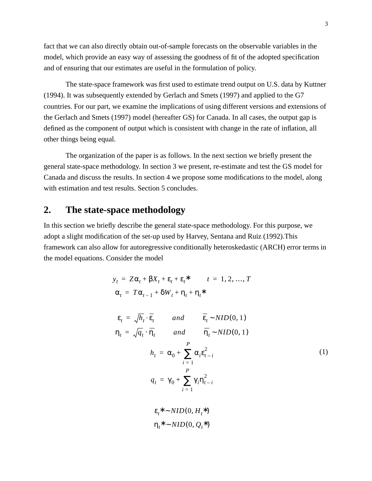fact that we can also directly obtain out-of-sample forecasts on the observable variables in the model, which provide an easy way of assessing the goodness of fit of the adopted specification and of ensuring that our estimates are useful in the formulation of policy.

The state-space framework was first used to estimate trend output on U.S. data by Kuttner (1994). It was subsequently extended by Gerlach and Smets (1997) and applied to the G7 countries. For our part, we examine the implications of using different versions and extensions of the Gerlach and Smets (1997) model (hereafter GS) for Canada. In all cases, the output gap is defined as the component of output which is consistent with change in the rate of inflation, all other things being equal.

The organization of the paper is as follows. In the next section we briefly present the general state-space methodology. In section 3 we present, re-estimate and test the GS model for Canada and discuss the results. In section 4 we propose some modifications to the model, along with estimation and test results. Section 5 concludes.

# **2. The state-space methodology**

In this section we briefly describe the general state-space methodology. For this purpose, we adopt a slight modification of the set-up used by Harvey, Sentana and Ruiz (1992).This framework can also allow for autoregressive conditionally heteroskedastic (ARCH) error terms in the model equations. Consider the model

$$
y_{t} = Z\alpha_{t} + \beta X_{t} + \varepsilon_{t} + \varepsilon_{t}^{*} \qquad t = 1, 2, ..., T
$$
  
\n
$$
\alpha_{t} = T\alpha_{t-1} + \delta W_{t} + \eta_{t} + \eta_{t}^{*}
$$
  
\n
$$
\varepsilon_{t} = \sqrt{h_{t}} \cdot \overline{\varepsilon_{t}} \qquad and \qquad \overline{\varepsilon_{t}} \sim NID(0, 1)
$$
  
\n
$$
\eta_{t} = \sqrt{q_{t}} \cdot \overline{\eta_{t}} \qquad and \qquad \overline{\eta_{t}} \sim NID(0, 1)
$$
  
\n
$$
h_{t} = \alpha_{0} + \sum_{i=1}^{P} \alpha_{i} \varepsilon_{t-i}^{2}
$$
  
\n
$$
q_{t} = \gamma_{0} + \sum_{i=1}^{P} \gamma_{i} \eta_{t-i}^{2}
$$
  
\n
$$
\varepsilon_{t}^{*} \sim NID(0, H_{t}^{*})
$$
  
\n(1)

 $η_t^* \sim NID(0, Q_t^*)$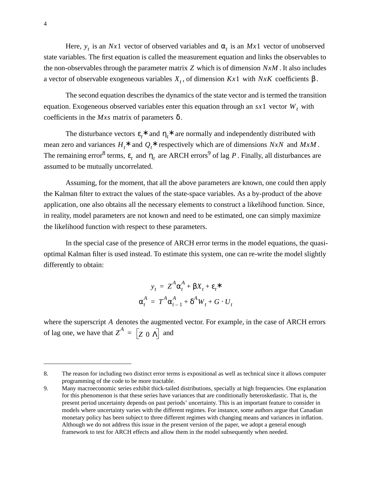Here,  $y_t$  is an *Nx*1 vector of observed variables and  $\alpha_t$  is an *Mx*1 vector of unobserved state variables. The first equation is called the measurement equation and links the observables to the non-observables through the parameter matrix  $Z$  which is of dimension  $NxM$ . It also includes a vector of observable exogeneous variables  $X_t$ , of dimension  $Kx1$  with  $NxK$  coefficients  $\beta$ .

The second equation describes the dynamics of the state vector and is termed the transition equation. Exogeneous observed variables enter this equation through an  $sx1$  vector  $W_t$  with coefficients in the  $Mxs$  matrix of parameters  $\delta$ .

The disturbance vectors  $\varepsilon_t^*$  and  $\eta_t^*$  are normally and independently distributed with mean zero and variances  $H_t^*$  and  $Q_t^*$  respectively which are of dimensions  $NxN$  and  $MxM$ . The remaining error<sup>8</sup> terms,  $\varepsilon$ <sub>t</sub> and  $\eta$ <sub>t</sub> are ARCH errors<sup>9</sup> of lag P. Finally, all disturbances are assumed to be mutually uncorrelated.

Assuming, for the moment, that all the above parameters are known, one could then apply the Kalman filter to extract the values of the state-space variables. As a by-product of the above application, one also obtains all the necessary elements to construct a likelihood function. Since, in reality, model parameters are not known and need to be estimated, one can simply maximize the likelihood function with respect to these parameters.

In the special case of the presence of ARCH error terms in the model equations, the quasioptimal Kalman filter is used instead. To estimate this system, one can re-write the model slightly differently to obtain:

$$
y_t = Z^A \alpha_t^A + \beta X_t + \varepsilon_t^*
$$
  

$$
\alpha_t^A = T^A \alpha_{t-1}^A + \delta^A W_t + G \cdot U_t
$$

where the superscript A denotes the augmented vector. For example, in the case of ARCH errors of lag one, we have that  $Z^A = \begin{bmatrix} Z & 0 & \Lambda \end{bmatrix}$  and

<sup>8.</sup> The reason for including two distinct error terms is expositional as well as technical since it allows computer programming of the code to be more tractable.

<sup>9.</sup> Many macroeconomic series exhibit thick-tailed distributions, specially at high frequencies. One explanation for this phenomenon is that these series have variances that are conditionally heteroskedastic. That is, the present period uncertainty depends on past periods' uncertainty. This is an important feature to consider in models where uncertainty varies with the different regimes. For instance, some authors argue that Canadian monetary policy has been subject to three different regimes with changing means and variances in inflation. Although we do not address this issue in the present version of the paper, we adopt a general enough framework to test for ARCH effects and allow them in the model subsequently when needed.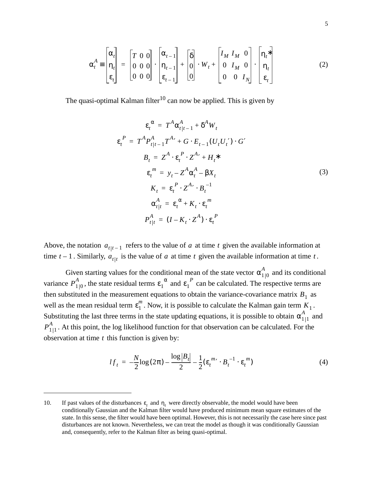$$
\alpha_t^A = \begin{bmatrix} \alpha_t \\ \eta_t \\ \varepsilon_t \end{bmatrix} = \begin{bmatrix} T & 0 & 0 \\ 0 & 0 & 0 \\ 0 & 0 & 0 \end{bmatrix} \cdot \begin{bmatrix} \alpha_{t-1} \\ \eta_{t-1} \\ \varepsilon_{t-1} \end{bmatrix} + \begin{bmatrix} \delta \\ 0 \\ 0 \end{bmatrix} \cdot W_t + \begin{bmatrix} I_M & I_M & 0 \\ 0 & I_M & 0 \\ 0 & 0 & I_N \end{bmatrix} \cdot \begin{bmatrix} \eta_t^* \\ \eta_t \\ \varepsilon_t \end{bmatrix}
$$
(2)

The quasi-optimal Kalman filter<sup>10</sup> can now be applied. This is given by

$$
\varepsilon_t^{\alpha} = T^A \alpha_{t|t-1}^A + \delta^A W_t
$$
  
\n
$$
\varepsilon_t^P = T^A P_{t|t-1}^A T^{A'} + G \cdot E_{t-1} (U_t U_t') \cdot G'
$$
  
\n
$$
B_t = Z^A \cdot \varepsilon_t^P \cdot Z^{A'} + H_t^*
$$
  
\n
$$
\varepsilon_t^m = y_t - Z^A \alpha_t^A - \beta X_t
$$
  
\n
$$
K_t = \varepsilon_t^P \cdot Z^{A'} \cdot B_t^{-1}
$$
  
\n
$$
\alpha_{t|t}^A = \varepsilon_t^{\alpha} + K_t \cdot \varepsilon_t^m
$$
  
\n
$$
P_{t|t}^A = (I - K_t \cdot Z^A) \cdot \varepsilon_t^P
$$

Above, the notation  $a_{t|t-1}$  refers to the value of a at time t given the available information at time  $t - 1$ . Similarly,  $a_{t}|t$  is the value of a at time t given the available information at time t.

Given starting values for the conditional mean of the state vector  $\alpha_{110}^A$  and its conditional variance  $P_{110}^A$ , the state residual terms  $\varepsilon_1^A$  and  $\varepsilon_1^A$  can be calculated. The respective terms are then substituted in the measurement equations to obtain the variance-covariance matrix  $B_1$  as well as the mean residual term  $\varepsilon_1^m$ . Now, it is possible to calculate the Kalman gain term  $K_1$ . Substituting the last three terms in the state updating equations, it is possible to obtain  $\alpha_{1|1}^A$  and  $P_{1|1}^A$ . At this point, the log likelihood function for that observation can be calculated. For the observation at time  $t$  this function is given by:  $\alpha_{1|0}^A$  $P_{1|0}^A$ , the state residual terms  $\varepsilon_1^A$  and  $\varepsilon_1^B$ 

$$
lf_t = -\frac{N}{2}\log(2\pi) - \frac{\log|B_t|}{2} - \frac{1}{2}(\varepsilon_t^{m_t} \cdot B_t^{-1} \cdot \varepsilon_t^m)
$$
(4)

<sup>10.</sup> If past values of the disturbances  $\varepsilon_t$  and  $\eta_t$  were directly observable, the model would have been conditionally Gaussian and the Kalman filter would have produced minimum mean square estimates of the state. In this sense, the filter would have been optimal. However, this is not necessarily the case here since past disturbances are not known. Nevertheless, we can treat the model as though it was conditionally Gaussian and, consequently, refer to the Kalman filter as being quasi-optimal.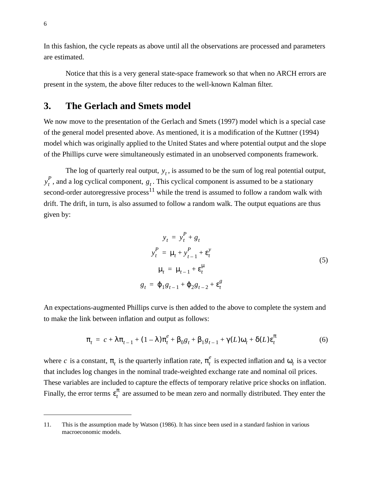In this fashion, the cycle repeats as above until all the observations are processed and parameters are estimated.

Notice that this is a very general state-space framework so that when no ARCH errors are present in the system, the above filter reduces to the well-known Kalman filter.

# **3. The Gerlach and Smets model**

We now move to the presentation of the Gerlach and Smets (1997) model which is a special case of the general model presented above. As mentioned, it is a modification of the Kuttner (1994) model which was originally applied to the United States and where potential output and the slope of the Phillips curve were simultaneously estimated in an unobserved components framework.

The log of quarterly real output,  $y_t$ , is assumed to be the sum of log real potential output,  $y_t^P$ , and a log cyclical component,  $g_t$ . This cyclical component is assumed to be a stationary second-order autoregressive process<sup>11</sup> while the trend is assumed to follow a random walk with drift. The drift, in turn, is also assumed to follow a random walk. The output equations are thus given by:

$$
y_t = y_t^P + g_t
$$
  
\n
$$
y_t^P = \mu_t + y_{t-1}^P + \varepsilon_t^y
$$
  
\n
$$
\mu_t = \mu_{t-1} + \varepsilon_t^{\mu}
$$
  
\n
$$
g_t = \varphi_1 g_{t-1} + \varphi_2 g_{t-2} + \varepsilon_t^g
$$
\n(5)

An expectations-augmented Phillips curve is then added to the above to complete the system and to make the link between inflation and output as follows:

$$
\pi_t = c + \lambda \pi_{t-1} + (1 - \lambda) \pi_t^e + \beta_0 g_t + \beta_1 g_{t-1} + \gamma(L) \omega_t + \delta(L) \varepsilon_t^{\pi}
$$
(6)

where c is a constant,  $\pi_t$  is the quarterly inflation rate,  $\pi_t^e$  is expected inflation and  $\omega_t$  is a vector that includes log changes in the nominal trade-weighted exchange rate and nominal oil prices. These variables are included to capture the effects of temporary relative price shocks on inflation. Finally, the error terms  $\epsilon_t^{\pi}$  are assumed to be mean zero and normally distributed. They enter the

<sup>11.</sup> This is the assumption made by Watson (1986). It has since been used in a standard fashion in various macroeconomic models.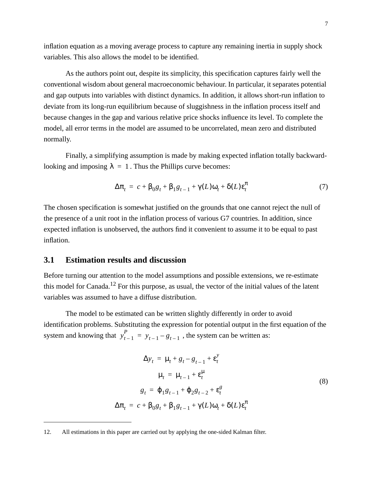inflation equation as a moving average process to capture any remaining inertia in supply shock variables. This also allows the model to be identified.

As the authors point out, despite its simplicity, this specification captures fairly well the conventional wisdom about general macroeconomic behaviour. In particular, it separates potential and gap outputs into variables with distinct dynamics. In addition, it allows short-run inflation to deviate from its long-run equilibrium because of sluggishness in the inflation process itself and because changes in the gap and various relative price shocks influence its level. To complete the model, all error terms in the model are assumed to be uncorrelated, mean zero and distributed normally.

Finally, a simplifying assumption is made by making expected inflation totally backwardlooking and imposing  $\lambda = 1$ . Thus the Phillips curve becomes:

$$
\Delta \pi_t = c + \beta_0 g_t + \beta_1 g_{t-1} + \gamma(L) \omega_t + \delta(L) \varepsilon_t^{\pi}
$$
\n(7)

The chosen specification is somewhat justified on the grounds that one cannot reject the null of the presence of a unit root in the inflation process of various G7 countries. In addition, since expected inflation is unobserved, the authors find it convenient to assume it to be equal to past inflation.

#### **3.1 Estimation results and discussion**

Before turning our attention to the model assumptions and possible extensions, we re-estimate this model for Canada.<sup>12</sup> For this purpose, as usual, the vector of the initial values of the latent variables was assumed to have a diffuse distribution.

The model to be estimated can be written slightly differently in order to avoid identification problems. Substituting the expression for potential output in the first equation of the system and knowing that  $y_{t-1}^P = y_{t-1} - g_{t-1}$ , the system can be written as:

$$
\Delta y_t = \mu_t + g_t - g_{t-1} + \varepsilon_t^y
$$
  
\n
$$
\mu_t = \mu_{t-1} + \varepsilon_t^{\mu}
$$
  
\n
$$
g_t = \varphi_1 g_{t-1} + \varphi_2 g_{t-2} + \varepsilon_t^g
$$
  
\n
$$
\Delta \pi_t = c + \beta_0 g_t + \beta_1 g_{t-1} + \gamma(L) \omega_t + \delta(L) \varepsilon_t^{\pi}
$$
 (8)

<sup>12.</sup> All estimations in this paper are carried out by applying the one-sided Kalman filter.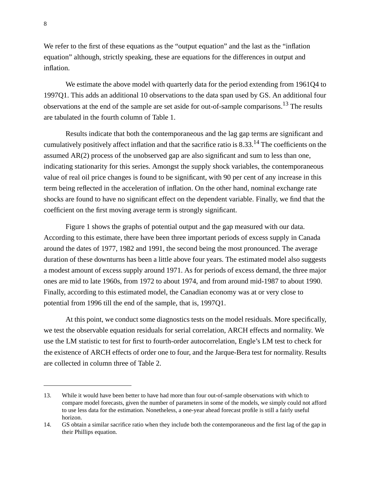We refer to the first of these equations as the "output equation" and the last as the "inflation" equation" although, strictly speaking, these are equations for the differences in output and inflation.

We estimate the above model with quarterly data for the period extending from 1961Q4 to 1997Q1. This adds an additional 10 observations to the data span used by GS. An additional four observations at the end of the sample are set aside for out-of-sample comparisons.13 The results are tabulated in the fourth column of Table 1.

Results indicate that both the contemporaneous and the lag gap terms are significant and cumulatively positively affect inflation and that the sacrifice ratio is 8.33.<sup>14</sup> The coefficients on the assumed AR(2) process of the unobserved gap are also significant and sum to less than one, indicating stationarity for this series. Amongst the supply shock variables, the contemporaneous value of real oil price changes is found to be significant, with 90 per cent of any increase in this term being reflected in the acceleration of inflation. On the other hand, nominal exchange rate shocks are found to have no significant effect on the dependent variable. Finally, we find that the coefficient on the first moving average term is strongly significant.

Figure 1 shows the graphs of potential output and the gap measured with our data. According to this estimate, there have been three important periods of excess supply in Canada around the dates of 1977, 1982 and 1991, the second being the most pronounced. The average duration of these downturns has been a little above four years. The estimated model also suggests a modest amount of excess supply around 1971. As for periods of excess demand, the three major ones are mid to late 1960s, from 1972 to about 1974, and from around mid-1987 to about 1990. Finally, according to this estimated model, the Canadian economy was at or very close to potential from 1996 till the end of the sample, that is, 1997Q1.

At this point, we conduct some diagnostics tests on the model residuals. More specifically, we test the observable equation residuals for serial correlation, ARCH effects and normality. We use the LM statistic to test for first to fourth-order autocorrelation, Engle's LM test to check for the existence of ARCH effects of order one to four, and the Jarque-Bera test for normality. Results are collected in column three of Table 2.

<sup>13.</sup> While it would have been better to have had more than four out-of-sample observations with which to compare model forecasts, given the number of parameters in some of the models, we simply could not afford to use less data for the estimation. Nonetheless, a one-year ahead forecast profile is still a fairly useful horizon.

<sup>14.</sup> GS obtain a similar sacrifice ratio when they include both the contemporaneous and the first lag of the gap in their Phillips equation.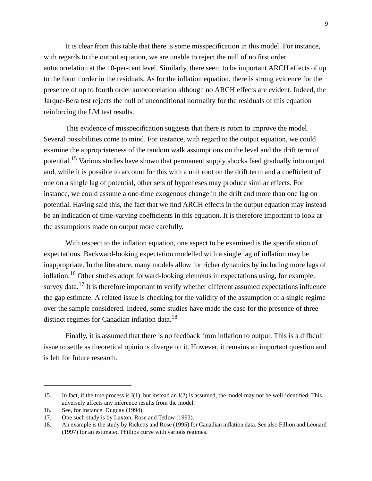It is clear from this table that there is some misspecification in this model. For instance, with regards to the output equation, we are unable to reject the null of no first order autocorrelation at the 10-per-cent level. Similarly, there seem to be important ARCH effects of up to the fourth order in the residuals. As for the inflation equation, there is strong evidence for the presence of up to fourth order autocorrelation although no ARCH effects are evident. Indeed, the Jarque-Bera test rejects the null of unconditional normality for the residuals of this equation reinforcing the LM test results.

This evidence of misspecification suggests that there is room to improve the model. Several possibilities come to mind. For instance, with regard to the output equation, we could examine the appropriateness of the random walk assumptions on the level and the drift term of potential.15 Various studies have shown that permanent supply shocks feed gradually into output and, while it is possible to account for this with a unit root on the drift term and a coefficient of one on a single lag of potential, other sets of hypotheses may produce similar effects. For instance, we could assume a one-time exogenous change in the drift and more than one lag on potential. Having said this, the fact that we find ARCH effects in the output equation may instead be an indication of time-varying coefficients in this equation. It is therefore important to look at the assumptions made on output more carefully.

With respect to the inflation equation, one aspect to be examined is the specification of expectations. Backward-looking expectation modelled with a single lag of inflation may be inappropriate. In the literature, many models allow for richer dynamics by including more lags of inflation.16 Other studies adopt forward-looking elements in expectations using, for example, survey data.<sup>17</sup> It is therefore important to verify whether different assumed expectations influence the gap estimate. A related issue is checking for the validity of the assumption of a single regime over the sample considered. Indeed, some studies have made the case for the presence of three distinct regimes for Canadian inflation data.<sup>18</sup>

Finally, it is assumed that there is no feedback from inflation to output. This is a difficult issue to settle as theoretical opinions diverge on it. However, it remains an important question and is left for future research.

<sup>15.</sup> In fact, if the true process is I(1), but instead an I(2) is assumed, the model may not be well-identified. This adversely affects any inference results from the model.

<sup>16.</sup> See, for instance, Duguay (1994).

<sup>17.</sup> One such study is by Laxton, Rose and Tetlow (1993).

<sup>18.</sup> An example is the study by Ricketts and Rose (1995) for Canadian inflation data. See also Fillion and Léonard (1997) for an estimated Phillips curve with various regimes.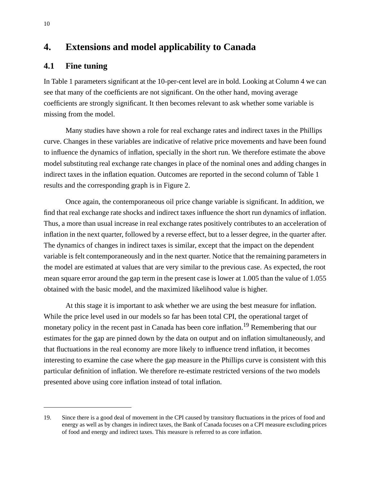# **4. Extensions and model applicability to Canada**

### **4.1 Fine tuning**

In Table 1 parameters significant at the 10-per-cent level are in bold. Looking at Column 4 we can see that many of the coefficients are not significant. On the other hand, moving average coefficients are strongly significant. It then becomes relevant to ask whether some variable is missing from the model.

Many studies have shown a role for real exchange rates and indirect taxes in the Phillips curve. Changes in these variables are indicative of relative price movements and have been found to influence the dynamics of inflation, specially in the short run. We therefore estimate the above model substituting real exchange rate changes in place of the nominal ones and adding changes in indirect taxes in the inflation equation. Outcomes are reported in the second column of Table 1 results and the corresponding graph is in Figure 2.

Once again, the contemporaneous oil price change variable is significant. In addition, we find that real exchange rate shocks and indirect taxes influence the short run dynamics of inflation. Thus, a more than usual increase in real exchange rates positively contributes to an acceleration of inflation in the next quarter, followed by a reverse effect, but to a lesser degree, in the quarter after. The dynamics of changes in indirect taxes is similar, except that the impact on the dependent variable is felt contemporaneously and in the next quarter. Notice that the remaining parameters in the model are estimated at values that are very similar to the previous case. As expected, the root mean square error around the gap term in the present case is lower at 1.005 than the value of 1.055 obtained with the basic model, and the maximized likelihood value is higher.

At this stage it is important to ask whether we are using the best measure for inflation. While the price level used in our models so far has been total CPI, the operational target of monetary policy in the recent past in Canada has been core inflation.<sup>19</sup> Remembering that our estimates for the gap are pinned down by the data on output and on inflation simultaneously, and that fluctuations in the real economy are more likely to influence trend inflation, it becomes interesting to examine the case where the gap measure in the Phillips curve is consistent with this particular definition of inflation. We therefore re-estimate restricted versions of the two models presented above using core inflation instead of total inflation.

<sup>19.</sup> Since there is a good deal of movement in the CPI caused by transitory fluctuations in the prices of food and energy as well as by changes in indirect taxes, the Bank of Canada focuses on a CPI measure excluding prices of food and energy and indirect taxes. This measure is referred to as core inflation.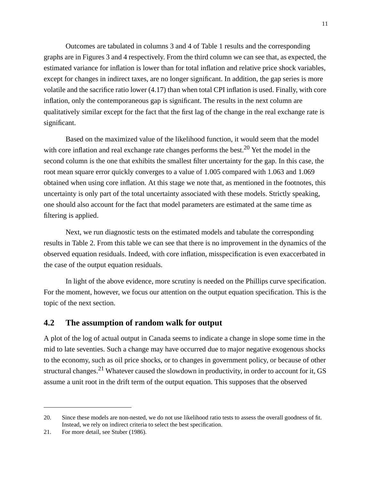Outcomes are tabulated in columns 3 and 4 of Table 1 results and the corresponding graphs are in Figures 3 and 4 respectively. From the third column we can see that, as expected, the estimated variance for inflation is lower than for total inflation and relative price shock variables, except for changes in indirect taxes, are no longer significant. In addition, the gap series is more volatile and the sacrifice ratio lower (4.17) than when total CPI inflation is used. Finally, with core inflation, only the contemporaneous gap is significant. The results in the next column are qualitatively similar except for the fact that the first lag of the change in the real exchange rate is significant.

Based on the maximized value of the likelihood function, it would seem that the model with core inflation and real exchange rate changes performs the best.<sup>20</sup> Yet the model in the second column is the one that exhibits the smallest filter uncertainty for the gap. In this case, the root mean square error quickly converges to a value of 1.005 compared with 1.063 and 1.069 obtained when using core inflation. At this stage we note that, as mentioned in the footnotes, this uncertainty is only part of the total uncertainty associated with these models. Strictly speaking, one should also account for the fact that model parameters are estimated at the same time as filtering is applied.

Next, we run diagnostic tests on the estimated models and tabulate the corresponding results in Table 2. From this table we can see that there is no improvement in the dynamics of the observed equation residuals. Indeed, with core inflation, misspecification is even exaccerbated in the case of the output equation residuals.

In light of the above evidence, more scrutiny is needed on the Phillips curve specification. For the moment, however, we focus our attention on the output equation specification. This is the topic of the next section.

#### **4.2 The assumption of random walk for output**

A plot of the log of actual output in Canada seems to indicate a change in slope some time in the mid to late seventies. Such a change may have occurred due to major negative exogenous shocks to the economy, such as oil price shocks, or to changes in government policy, or because of other structural changes.<sup>21</sup> Whatever caused the slowdown in productivity, in order to account for it, GS assume a unit root in the drift term of the output equation. This supposes that the observed

<sup>20.</sup> Since these models are non-nested, we do not use likelihood ratio tests to assess the overall goodness of fit. Instead, we rely on indirect criteria to select the best specification.

<sup>21.</sup> For more detail, see Stuber (1986).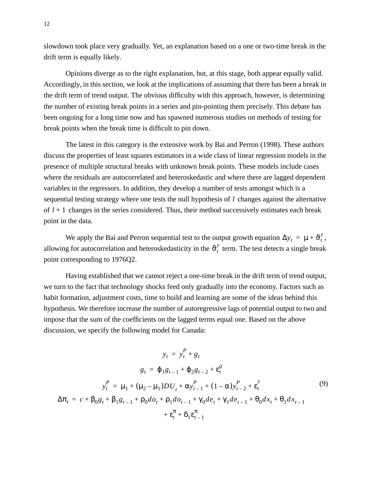slowdown took place very gradually. Yet, an explanation based on a one or two-time break in the drift term is equally likely.

Opinions diverge as to the right explanation, but, at this stage, both appear equally valid. Accordingly, in this section, we look at the implications of assuming that there has been a break in the drift term of trend output. The obvious difficulty with this approach, however, is determining the number of existing break points in a series and pin-pointing them precisely. This debate has been ongoing for a long time now and has spawned numerous studies on methods of testing for break points when the break time is difficult to pin down.

The latest in this category is the extensive work by Bai and Perron (1998). These authors discuss the properties of least squares estimators in a wide class of linear regression models in the presence of multiple structural breaks with unknown break points. These models include cases where the residuals are autocorrelated and heteroskedastic and where there are lagged dependent variables in the regressors. In addition, they develop a number of tests amongst which is a sequential testing strategy where one tests the null hypothesis of  $l$  changes against the alternative of  $l + 1$  changes in the series considered. Thus, their method successively estimates each break point in the data.

We apply the Bai and Perron sequential test to the output growth equation  $\Delta y_t = \mu + \vartheta_t^y$ , allowing for autocorrelation and heteroskedasticity in the  $\vartheta_t^y$  term. The test detects a single break point corresponding to 1976Q2.

Having established that we cannot reject a one-time break in the drift term of trend output, we turn to the fact that technology shocks feed only gradually into the economy. Factors such as habit formation, adjustment costs, time to build and learning are some of the ideas behind this hypothesis. We therefore increase the number of autoregressive lags of potential output to two and impose that the sum of the coefficients on the lagged terms equal one. Based on the above discussion, we specify the following model for Canada:

$$
y_{t} = y_{t}^{P} + g_{t}
$$
\n
$$
g_{t} = \varphi_{1}g_{t-1} + \varphi_{2}g_{t-2} + \varepsilon_{t}^{g}
$$
\n
$$
y_{t}^{P} = \mu_{1} + (\mu_{2} - \mu_{1})DU_{t} + \alpha y_{t-1}^{P} + (1 - \alpha)y_{t-2}^{P} + \varepsilon_{t}^{y}
$$
\n
$$
\Delta \pi_{t} = c + \beta_{0}g_{t} + \beta_{1}g_{t-1} + \rho_{0}do_{t} + \rho_{1}do_{t-1} + \gamma_{0}de_{t} + \gamma_{1}de_{t-1} + \theta_{0}dx_{t} + \theta_{1}dx_{t-1}
$$
\n
$$
+ \varepsilon_{t}^{\pi} + \delta_{1}\varepsilon_{t-1}^{\pi}
$$
\n(9)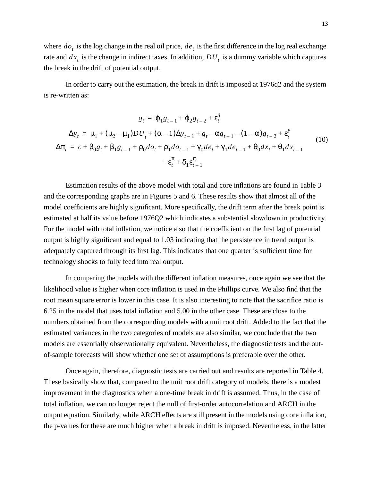where  $do_t$  is the log change in the real oil price,  $de_t$  is the first difference in the log real exchange rate and  $dx_t$  is the change in indirect taxes. In addition,  $DU_t$  is a dummy variable which captures the break in the drift of potential output.

In order to carry out the estimation, the break in drift is imposed at 1976q2 and the system is re-written as:

$$
g_{t} = \varphi_{1}g_{t-1} + \varphi_{2}g_{t-2} + \varepsilon_{t}^{g}
$$
  
\n
$$
\Delta y_{t} = \mu_{1} + (\mu_{2} - \mu_{1})DU_{t} + (\alpha - 1)\Delta y_{t-1} + g_{t} - \alpha g_{t-1} - (1 - \alpha)g_{t-2} + \varepsilon_{t}^{y}
$$
  
\n
$$
\Delta \pi_{t} = c + \beta_{0}g_{t} + \beta_{1}g_{t-1} + \rho_{0}d\sigma_{t} + \rho_{1}d\sigma_{t-1} + \gamma_{0}de_{t} + \gamma_{1}de_{t-1} + \theta_{0}dx_{t} + \theta_{1}dx_{t-1}
$$
  
\n
$$
+ \varepsilon_{t}^{\pi} + \delta_{1}\varepsilon_{t-1}^{\pi}
$$
\n(10)

Estimation results of the above model with total and core inflations are found in Table 3 and the corresponding graphs are in Figures 5 and 6. These results show that almost all of the model coefficients are highly significant. More specifically, the drift term after the break point is estimated at half its value before 1976Q2 which indicates a substantial slowdown in productivity. For the model with total inflation, we notice also that the coefficient on the first lag of potential output is highly significant and equal to 1.03 indicating that the persistence in trend output is adequately captured through its first lag. This indicates that one quarter is sufficient time for technology shocks to fully feed into real output.

In comparing the models with the different inflation measures, once again we see that the likelihood value is higher when core inflation is used in the Phillips curve. We also find that the root mean square error is lower in this case. It is also interesting to note that the sacrifice ratio is 6.25 in the model that uses total inflation and 5.00 in the other case. These are close to the numbers obtained from the corresponding models with a unit root drift. Added to the fact that the estimated variances in the two categories of models are also similar, we conclude that the two models are essentially observationally equivalent. Nevertheless, the diagnostic tests and the outof-sample forecasts will show whether one set of assumptions is preferable over the other.

Once again, therefore, diagnostic tests are carried out and results are reported in Table 4. These basically show that, compared to the unit root drift category of models, there is a modest improvement in the diagnostics when a one-time break in drift is assumed. Thus, in the case of total inflation, we can no longer reject the null of first-order autocorrelation and ARCH in the output equation. Similarly, while ARCH effects are still present in the models using core inflation, the p-values for these are much higher when a break in drift is imposed. Nevertheless, in the latter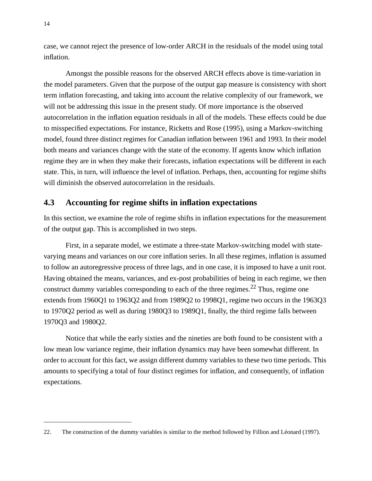case, we cannot reject the presence of low-order ARCH in the residuals of the model using total inflation.

Amongst the possible reasons for the observed ARCH effects above is time-variation in the model parameters. Given that the purpose of the output gap measure is consistency with short term inflation forecasting, and taking into account the relative complexity of our framework, we will not be addressing this issue in the present study. Of more importance is the observed autocorrelation in the inflation equation residuals in all of the models. These effects could be due to misspecified expectations. For instance, Ricketts and Rose (1995), using a Markov-switching model, found three distinct regimes for Canadian inflation between 1961 and 1993. In their model both means and variances change with the state of the economy. If agents know which inflation regime they are in when they make their forecasts, inflation expectations will be different in each state. This, in turn, will influence the level of inflation. Perhaps, then, accounting for regime shifts will diminish the observed autocorrelation in the residuals.

#### **4.3 Accounting for regime shifts in inflation expectations**

In this section, we examine the role of regime shifts in inflation expectations for the measurement of the output gap. This is accomplished in two steps.

First, in a separate model, we estimate a three-state Markov-switching model with statevarying means and variances on our core inflation series. In all these regimes, inflation is assumed to follow an autoregressive process of three lags, and in one case, it is imposed to have a unit root. Having obtained the means, variances, and ex-post probabilities of being in each regime, we then construct dummy variables corresponding to each of the three regimes.<sup>22</sup> Thus, regime one extends from 1960Q1 to 1963Q2 and from 1989Q2 to 1998Q1, regime two occurs in the 1963Q3 to 1970Q2 period as well as during 1980Q3 to 1989Q1, finally, the third regime falls between 1970Q3 and 1980Q2.

Notice that while the early sixties and the nineties are both found to be consistent with a low mean low variance regime, their inflation dynamics may have been somewhat different. In order to account for this fact, we assign different dummy variables to these two time periods. This amounts to specifying a total of four distinct regimes for inflation, and consequently, of inflation expectations.

<sup>22.</sup> The construction of the dummy variables is similar to the method followed by Fillion and Léonard (1997).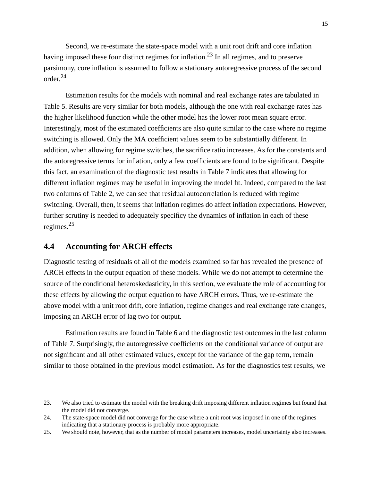Second, we re-estimate the state-space model with a unit root drift and core inflation having imposed these four distinct regimes for inflation.23 In all regimes, and to preserve parsimony, core inflation is assumed to follow a stationary autoregressive process of the second order.24

Estimation results for the models with nominal and real exchange rates are tabulated in Table 5. Results are very similar for both models, although the one with real exchange rates has the higher likelihood function while the other model has the lower root mean square error. Interestingly, most of the estimated coefficients are also quite similar to the case where no regime switching is allowed. Only the MA coefficient values seem to be substantially different. In addition, when allowing for regime switches, the sacrifice ratio increases. As for the constants and the autoregressive terms for inflation, only a few coefficients are found to be significant. Despite this fact, an examination of the diagnostic test results in Table 7 indicates that allowing for different inflation regimes may be useful in improving the model fit. Indeed, compared to the last two columns of Table 2, we can see that residual autocorrelation is reduced with regime switching. Overall, then, it seems that inflation regimes do affect inflation expectations. However, further scrutiny is needed to adequately specificy the dynamics of inflation in each of these regimes.25

# **4.4 Accounting for ARCH effects**

Diagnostic testing of residuals of all of the models examined so far has revealed the presence of ARCH effects in the output equation of these models. While we do not attempt to determine the source of the conditional heteroskedasticity, in this section, we evaluate the role of accounting for these effects by allowing the output equation to have ARCH errors. Thus, we re-estimate the above model with a unit root drift, core inflation, regime changes and real exchange rate changes, imposing an ARCH error of lag two for output.

Estimation results are found in Table 6 and the diagnostic test outcomes in the last column of Table 7. Surprisingly, the autoregressive coefficients on the conditional variance of output are not significant and all other estimated values, except for the variance of the gap term, remain similar to those obtained in the previous model estimation. As for the diagnostics test results, we

<sup>23.</sup> We also tried to estimate the model with the breaking drift imposing different inflation regimes but found that the model did not converge.

<sup>24.</sup> The state-space model did not converge for the case where a unit root was imposed in one of the regimes indicating that a stationary process is probably more appropriate.

<sup>25.</sup> We should note, however, that as the number of model parameters increases, model uncertainty also increases.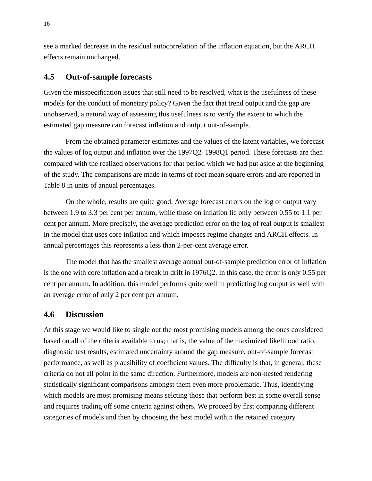see a marked decrease in the residual autocorrelation of the inflation equation, but the ARCH effects remain unchanged.

### **4.5 Out-of-sample forecasts**

Given the misspecification issues that still need to be resolved, what is the usefulness of these models for the conduct of monetary policy? Given the fact that trend output and the gap are unobserved, a natural way of assessing this usefulness is to verify the extent to which the estimated gap measure can forecast inflation and output out-of-sample.

From the obtained parameter estimates and the values of the latent variables, we forecast the values of log output and inflation over the 1997Q2–1998Q1 period. These forecasts are then compared with the realized observations for that period which we had put aside at the beginning of the study. The comparisons are made in terms of root mean square errors and are reported in Table 8 in units of annual percentages.

On the whole, results are quite good. Average forecast errors on the log of output vary between 1.9 to 3.3 per cent per annum, while those on inflation lie only between 0.55 to 1.1 per cent per annum. More precisely, the average prediction error on the log of real output is smallest in the model that uses core inflation and which imposes regime changes and ARCH effects. In annual percentages this represents a less than 2-per-cent average error.

The model that has the smallest average annual out-of-sample prediction error of inflation is the one with core inflation and a break in drift in 1976Q2. In this case, the error is only 0.55 per cent per annum. In addition, this model performs quite well in predicting log output as well with an average error of only 2 per cent per annum.

#### **4.6 Discussion**

At this stage we would like to single out the most promising models among the ones considered based on all of the criteria available to us; that is, the value of the maximized likelihood ratio, diagnostic test results, estimated uncertainty around the gap measure, out-of-sample forecast performance, as well as plausibility of coefficient values. The difficulty is that, in general, these criteria do not all point in the same direction. Furthermore, models are non-nested rendering statistically significant comparisons amongst them even more problematic. Thus, identifying which models are most promising means selcting those that perform best in some overall sense and requires trading off some criteria against others. We proceed by first comparing different categories of models and then by choosing the best model within the retained category.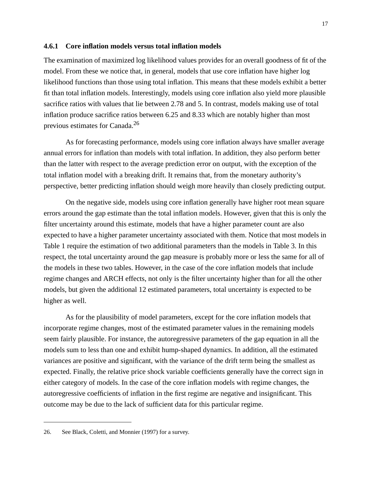#### **4.6.1 Core inflation models versus total inflation models**

The examination of maximized log likelihood values provides for an overall goodness of fit of the model. From these we notice that, in general, models that use core inflation have higher log likelihood functions than those using total inflation. This means that these models exhibit a better fit than total inflation models. Interestingly, models using core inflation also yield more plausible sacrifice ratios with values that lie between 2.78 and 5. In contrast, models making use of total inflation produce sacrifice ratios between 6.25 and 8.33 which are notably higher than most previous estimates for Canada.26

As for forecasting performance, models using core inflation always have smaller average annual errors for inflation than models with total inflation. In addition, they also perform better than the latter with respect to the average prediction error on output, with the exception of the total inflation model with a breaking drift. It remains that, from the monetary authority's perspective, better predicting inflation should weigh more heavily than closely predicting output.

On the negative side, models using core inflation generally have higher root mean square errors around the gap estimate than the total inflation models. However, given that this is only the filter uncertainty around this estimate, models that have a higher parameter count are also expected to have a higher parameter uncertainty associated with them. Notice that most models in Table 1 require the estimation of two additional parameters than the models in Table 3. In this respect, the total uncertainty around the gap measure is probably more or less the same for all of the models in these two tables. However, in the case of the core inflation models that include regime changes and ARCH effects, not only is the filter uncertainty higher than for all the other models, but given the additional 12 estimated parameters, total uncertainty is expected to be higher as well.

As for the plausibility of model parameters, except for the core inflation models that incorporate regime changes, most of the estimated parameter values in the remaining models seem fairly plausible. For instance, the autoregressive parameters of the gap equation in all the models sum to less than one and exhibit hump-shaped dynamics. In addition, all the estimated variances are positive and significant, with the variance of the drift term being the smallest as expected. Finally, the relative price shock variable coefficients generally have the correct sign in either category of models. In the case of the core inflation models with regime changes, the autoregressive coefficients of inflation in the first regime are negative and insignificant. This outcome may be due to the lack of sufficient data for this particular regime.

<sup>26.</sup> See Black, Coletti, and Monnier (1997) for a survey.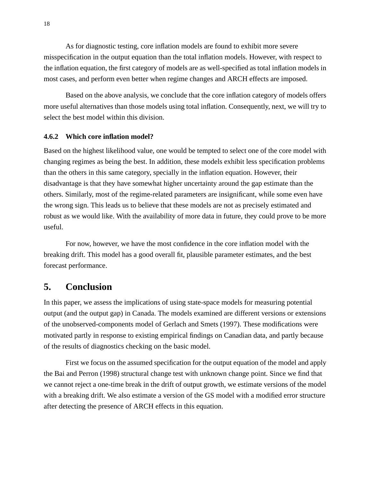As for diagnostic testing, core inflation models are found to exhibit more severe misspecification in the output equation than the total inflation models. However, with respect to the inflation equation, the first category of models are as well-specified as total inflation models in most cases, and perform even better when regime changes and ARCH effects are imposed.

Based on the above analysis, we conclude that the core inflation category of models offers more useful alternatives than those models using total inflation. Consequently, next, we will try to select the best model within this division.

#### **4.6.2 Which core inflation model?**

Based on the highest likelihood value, one would be tempted to select one of the core model with changing regimes as being the best. In addition, these models exhibit less specification problems than the others in this same category, specially in the inflation equation. However, their disadvantage is that they have somewhat higher uncertainty around the gap estimate than the others. Similarly, most of the regime-related parameters are insignificant, while some even have the wrong sign. This leads us to believe that these models are not as precisely estimated and robust as we would like. With the availability of more data in future, they could prove to be more useful.

For now, however, we have the most confidence in the core inflation model with the breaking drift. This model has a good overall fit, plausible parameter estimates, and the best forecast performance.

# **5. Conclusion**

In this paper, we assess the implications of using state-space models for measuring potential output (and the output gap) in Canada. The models examined are different versions or extensions of the unobserved-components model of Gerlach and Smets (1997). These modifications were motivated partly in response to existing empirical findings on Canadian data, and partly because of the results of diagnostics checking on the basic model.

First we focus on the assumed specification for the output equation of the model and apply the Bai and Perron (1998) structural change test with unknown change point. Since we find that we cannot reject a one-time break in the drift of output growth, we estimate versions of the model with a breaking drift. We also estimate a version of the GS model with a modified error structure after detecting the presence of ARCH effects in this equation.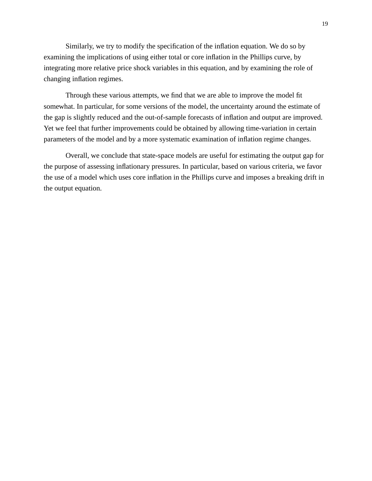Similarly, we try to modify the specification of the inflation equation. We do so by examining the implications of using either total or core inflation in the Phillips curve, by integrating more relative price shock variables in this equation, and by examining the role of changing inflation regimes.

Through these various attempts, we find that we are able to improve the model fit somewhat. In particular, for some versions of the model, the uncertainty around the estimate of the gap is slightly reduced and the out-of-sample forecasts of inflation and output are improved. Yet we feel that further improvements could be obtained by allowing time-variation in certain parameters of the model and by a more systematic examination of inflation regime changes.

Overall, we conclude that state-space models are useful for estimating the output gap for the purpose of assessing inflationary pressures. In particular, based on various criteria, we favor the use of a model which uses core inflation in the Phillips curve and imposes a breaking drift in the output equation.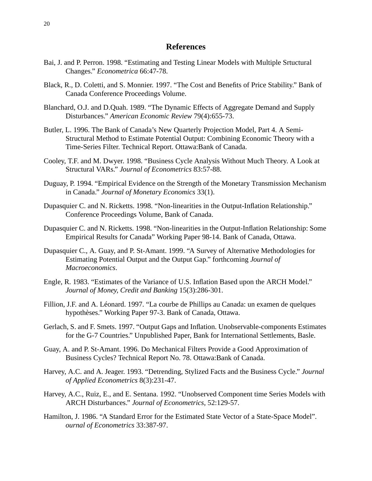#### **References**

- Bai, J. and P. Perron. 1998. "Estimating and Testing Linear Models with Multiple Srtuctural Changes." *Econometrica* 66:47-78.
- Black, R., D. Coletti, and S. Monnier. 1997. "The Cost and Benefits of Price Stability." Bank of Canada Conference Proceedings Volume.
- Blanchard, O.J. and D.Quah. 1989. "The Dynamic Effects of Aggregate Demand and Supply Disturbances." *American Economic Review* 79(4):655-73.
- Butler, L. 1996. The Bank of Canada's New Quarterly Projection Model, Part 4. A Semi-Structural Method to Estimate Potential Output: Combining Economic Theory with a Time-Series Filter. Technical Report. Ottawa:Bank of Canada.
- Cooley, T.F. and M. Dwyer. 1998. "Business Cycle Analysis Without Much Theory. A Look at Structural VARs." *Journal of Econometrics* 83:57-88.
- Duguay, P. 1994. "Empirical Evidence on the Strength of the Monetary Transmission Mechanism in Canada." *Journal of Monetary Economics* 33(1).
- Dupasquier C. and N. Ricketts. 1998. "Non-linearities in the Output-Inflation Relationship." Conference Proceedings Volume, Bank of Canada.
- Dupasquier C. and N. Ricketts. 1998. "Non-linearities in the Output-Inflation Relationship: Some Empirical Results for Canada" Working Paper 98-14. Bank of Canada, Ottawa.
- Dupasquier C., A. Guay, and P. St-Amant. 1999. "A Survey of Alternative Methodologies for Estimating Potential Output and the Output Gap." forthcoming *Journal of Macroeconomics*.
- Engle, R. 1983. "Estimates of the Variance of U.S. Inflation Based upon the ARCH Model." *Journal of Money, Credit and Banking* 15(3):286-301.
- Fillion, J.F. and A. Léonard. 1997. "La courbe de Phillips au Canada: un examen de quelques hypothèses." Working Paper 97-3. Bank of Canada, Ottawa.
- Gerlach, S. and F. Smets. 1997. "Output Gaps and Inflation. Unobservable-components Estimates for the G-7 Countries." Unpublished Paper, Bank for International Settlements, Basle.
- Guay, A. and P. St-Amant. 1996. Do Mechanical Filters Provide a Good Approximation of Business Cycles? Technical Report No. 78. Ottawa:Bank of Canada.
- Harvey, A.C. and A. Jeager. 1993. "Detrending, Stylized Facts and the Business Cycle." *Journal of Applied Econometrics* 8(3):231-47.
- Harvey, A.C., Ruiz, E., and E. Sentana. 1992. "Unobserved Component time Series Models with ARCH Disturbances." *Journal of Econometrics*, 52:129-57.
- Hamilton, J. 1986. "A Standard Error for the Estimated State Vector of a State-Space Model". *ournal of Econometrics* 33:387-97.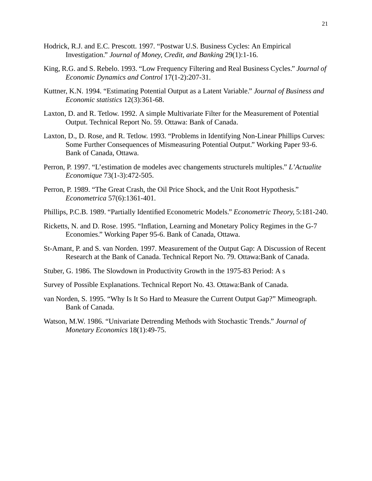- Hodrick, R.J. and E.C. Prescott. 1997. "Postwar U.S. Business Cycles: An Empirical Investigation." *Journal of Money, Credit, and Banking* 29(1):1-16.
- King, R.G. and S. Rebelo. 1993. "Low Frequency Filtering and Real Business Cycles." *Journal of Economic Dynamics and Control* 17(1-2):207-31.
- Kuttner, K.N. 1994. "Estimating Potential Output as a Latent Variable." *Journal of Business and Economic statistics* 12(3):361-68.
- Laxton, D. and R. Tetlow. 1992. A simple Multivariate Filter for the Measurement of Potential Output. Technical Report No. 59. Ottawa: Bank of Canada.
- Laxton, D., D. Rose, and R. Tetlow. 1993. "Problems in Identifying Non-Linear Phillips Curves: Some Further Consequences of Mismeasuring Potential Output." Working Paper 93-6. Bank of Canada, Ottawa.
- Perron, P. 1997. "L'estimation de modeles avec changements structurels multiples." *L'Actualite Economique* 73(1-3):472-505.
- Perron, P. 1989. "The Great Crash, the Oil Price Shock, and the Unit Root Hypothesis." *Econometrica* 57(6):1361-401.
- Phillips, P.C.B. 1989. "Partially Identified Econometric Models." *Econometric Theory*, 5:181-240.
- Ricketts, N. and D. Rose. 1995. "Inflation, Learning and Monetary Policy Regimes in the G-7 Economies." Working Paper 95-6. Bank of Canada, Ottawa.
- St-Amant, P. and S. van Norden. 1997. Measurement of the Output Gap: A Discussion of Recent Research at the Bank of Canada. Technical Report No. 79. Ottawa:Bank of Canada.
- Stuber, G. 1986. The Slowdown in Productivity Growth in the 1975-83 Period: A s
- Survey of Possible Explanations. Technical Report No. 43. Ottawa:Bank of Canada.
- van Norden, S. 1995. "Why Is It So Hard to Measure the Current Output Gap?" Mimeograph. Bank of Canada.
- Watson, M.W. 1986. "Univariate Detrending Methods with Stochastic Trends." *Journal of Monetary Economics* 18(1):49-75.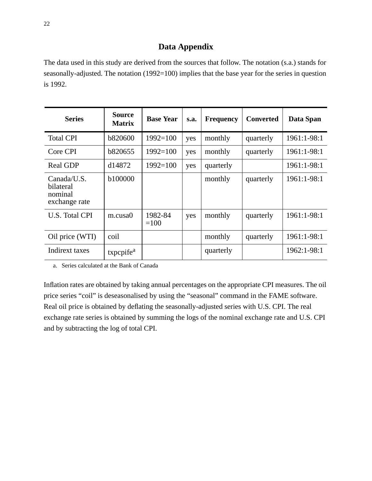# **Data Appendix**

The data used in this study are derived from the sources that follow. The notation (s.a.) stands for seasonally-adjusted. The notation (1992=100) implies that the base year for the series in question is 1992.

| <b>Series</b>                                        | <b>Source</b><br><b>Matrix</b> | <b>Base Year</b>  | S.a. | <b>Frequency</b> | <b>Converted</b> | Data Span   |
|------------------------------------------------------|--------------------------------|-------------------|------|------------------|------------------|-------------|
| <b>Total CPI</b>                                     | <b>b820600</b>                 | $1992 = 100$      | yes  | monthly          | quarterly        | 1961:1-98:1 |
| Core CPI                                             | b820655                        | $1992 = 100$      | yes  | monthly          | quarterly        | 1961:1-98:1 |
| <b>Real GDP</b>                                      | d14872                         | $1992 = 100$      | yes  | quarterly        |                  | 1961:1-98:1 |
| Canada/U.S.<br>bilateral<br>nominal<br>exchange rate | b100000                        |                   |      | monthly          | quarterly        | 1961:1-98:1 |
| U.S. Total CPI                                       | $m$ .cusa $0$                  | 1982-84<br>$=100$ | yes  | monthly          | quarterly        | 1961:1-98:1 |
| Oil price (WTI)                                      | coil                           |                   |      | monthly          | quarterly        | 1961:1-98:1 |
| Indirext taxes                                       | txpcpife <sup>a</sup>          |                   |      | quarterly        |                  | 1962:1-98:1 |

a. Series calculated at the Bank of Canada

Inflation rates are obtained by taking annual percentages on the appropriate CPI measures. The oil price series "coil" is deseasonalised by using the "seasonal" command in the FAME software. Real oil price is obtained by deflating the seasonally-adjusted series with U.S. CPI. The real exchange rate series is obtained by summing the logs of the nominal exchange rate and U.S. CPI and by subtracting the log of total CPI.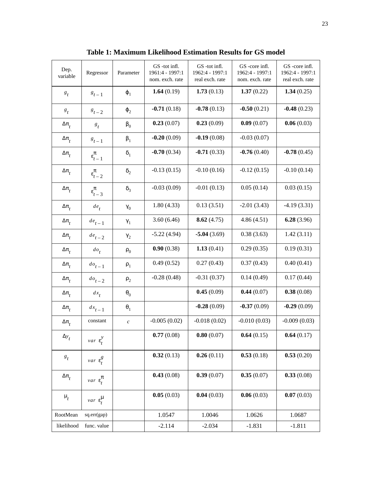| Dep.<br>variable                   | Regressor                  | Parameter        | GS-tot infl.<br>1961:4 - 1997:1<br>nom. exch. rate | GS-tot infl.<br>1962:4 - 1997:1<br>real exch. rate | GS-core infl.<br>1962:4 - 1997:1<br>nom. exch. rate | GS-core infl.<br>1962:4 - 1997:1<br>real exch. rate |
|------------------------------------|----------------------------|------------------|----------------------------------------------------|----------------------------------------------------|-----------------------------------------------------|-----------------------------------------------------|
| $s_t$                              | $g_{t-1}$                  | $\varphi_1$      | 1.64 $(0.19)$                                      | 1.73(0.13)                                         | 1.37(0.22)                                          | 1.34(0.25)                                          |
| $s_t$                              | $8t-2$                     | $\varphi_2$      | $-0.71(0.18)$                                      | $-0.78(0.13)$                                      | $-0.50(0.21)$                                       | $-0.48(0.23)$                                       |
| $\Delta\pi_{_f}$                   | $s_t$                      | $\beta_0$        | 0.23(0.07)                                         | 0.23(0.09)                                         | 0.09(0.07)                                          | 0.06(0.03)                                          |
| $\Delta \pi$                       | $s_{t-1}$                  | $\beta_1$        | $-0.20(0.09)$                                      | $-0.19(0.08)$                                      | $-0.03(0.07)$                                       |                                                     |
| $\Delta \pi$                       | $\epsilon_{t-1}^{\pi}$     | $\delta_1$       | $-0.70(0.34)$                                      | $-0.71(0.33)$                                      | $-0.76(0.40)$                                       | $-0.78(0.45)$                                       |
| $\Delta \pi$ <sub>t</sub>          | $\epsilon_{t-2}^{\pi}$     | $\delta_2$       | $-0.13(0.15)$                                      | $-0.10(0.16)$                                      | $-0.12(0.15)$                                       | $-0.10(0.14)$                                       |
| $\Delta \pi$                       | $\epsilon_{t-3}^{\pi}$     | $\delta_3$       | $-0.03(0.09)$                                      | $-0.01(0.13)$                                      | 0.05(0.14)                                          | 0.03(0.15)                                          |
| $\Delta\pi_{_f}$                   | $de_t$                     | $\gamma_0$       | 1.80(4.33)                                         | 0.13(3.51)                                         | $-2.01(3.43)$                                       | $-4.19(3.31)$                                       |
| $\Delta\pi_{_f}$                   | $de_{t-1}$                 | $\gamma_1$       | 3.60(6.46)                                         | 8.62(4.75)                                         | 4.86(4.51)                                          | 6.28(3.96)                                          |
| $\Delta \pi$ <sub>t</sub>          | $de_{t-2}$                 | $\gamma_2$       | $-5.22(4.94)$                                      | $-5.04(3.69)$                                      | 0.38(3.63)                                          | 1.42(3.11)                                          |
| $\Delta\pi_{_t}$                   | $d\rho_t$                  | $\rho_0$         | 0.90(0.38)                                         | 1.13(0.41)                                         | 0.29(0.35)                                          | 0.19(0.31)                                          |
| $\Delta\pi_{_f}$                   | $d\rho_{t-1}$              | $\rho_1$         | 0.49(0.52)                                         | 0.27(0.43)                                         | 0.37(0.43)                                          | 0.40(0.41)                                          |
| $\Delta\pi_{_t}$                   | $d\mathbf{e}_{t-2}$        | $\rho_2$         | $-0.28(0.48)$                                      | $-0.31(0.37)$                                      | 0.14(0.49)                                          | 0.17(0.44)                                          |
| $\Delta\pi^{\vphantom{\dagger}}_t$ | $dx_t$                     | $\theta_0$       |                                                    | 0.45(0.09)                                         | 0.44(0.07)                                          | 0.38(0.08)                                          |
| $\Delta \pi$ <sub>t</sub>          | $dx_{t-1}$                 | $\theta_1$       |                                                    | $-0.28(0.09)$                                      | $-0.37(0.09)$                                       | $-0.29(0.09)$                                       |
| $\Delta \pi$ <sub>t</sub>          | constant                   | $\boldsymbol{c}$ | $-0.005(0.02)$                                     | $-0.018(0.02)$                                     | $-0.010(0.03)$                                      | $-0.009(0.03)$                                      |
| $\Delta y_t$                       | $var(\epsilon_t^y)$        |                  | 0.77(0.08)                                         | 0.80(0.07)                                         | 0.64(0.15)                                          | 0.64(0.17)                                          |
| $\boldsymbol{s}_t$                 | $var(\epsilon_t^g)$        |                  | 0.32(0.13)                                         | 0.26(0.11)                                         | 0.53(0.18)                                          | 0.53(0.20)                                          |
| $\Delta\pi_{_t}$                   | $var(\varepsilon_t^{\pi})$ |                  | 0.43(0.08)                                         | 0.39(0.07)                                         | 0.35(0.07)                                          | 0.33(0.08)                                          |
| $\mu_t$                            | $var(\varepsilon_t^{\mu})$ |                  | 0.05(0.03)                                         | 0.04(0.03)                                         | 0.06(0.03)                                          | 0.07(0.03)                                          |
| RootMean                           | sq.err(gap)                |                  | 1.0547                                             | 1.0046                                             | 1.0626                                              | 1.0687                                              |
| likelihood                         | func. value                |                  | $-2.114$                                           | $-2.034$                                           | $-1.831$                                            | $-1.811$                                            |

**Table 1: Maximum Likelihood Estimation Results for GS model**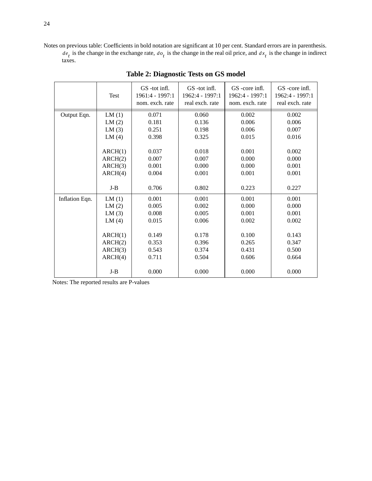Notes on previous table: Coefficients in bold notation are significant at 10 per cent. Standard errors are in parenthesis. is the change in the exchange rate,  $d\rho$ , is the change in the real oil price, and  $dx$ , is the change in indirect taxes.  $de_t$  is the change in the exchange rate,  $do_t$  is the change in the real oil price, and  $dx_t$ 

|                | Test    | GS -tot infl.<br>1961:4 - 1997:1<br>nom. exch. rate | GS-tot infl.<br>1962:4 - 1997:1<br>real exch. rate | GS-core infl.<br>1962:4 - 1997:1<br>nom. exch. rate | GS-core infl.<br>1962:4 - 1997:1<br>real exch. rate |
|----------------|---------|-----------------------------------------------------|----------------------------------------------------|-----------------------------------------------------|-----------------------------------------------------|
| Output Eqn.    | LM(1)   | 0.071                                               | 0.060                                              | 0.002                                               | 0.002                                               |
|                | LM(2)   | 0.181                                               | 0.136                                              | 0.006                                               | 0.006                                               |
|                | LM(3)   | 0.251                                               | 0.198                                              | 0.006                                               | 0.007                                               |
|                | LM(4)   | 0.398                                               | 0.325                                              | 0.015                                               | 0.016                                               |
|                | ARCH(1) | 0.037                                               | 0.018                                              | 0.001                                               | 0.002                                               |
|                | ARCH(2) | 0.007                                               | 0.007                                              | 0.000                                               | 0.000                                               |
|                | ARCH(3) | 0.001                                               | 0.000                                              | 0.000                                               | 0.001                                               |
|                | ARCH(4) | 0.004                                               | 0.001                                              | 0.001                                               | 0.001                                               |
|                | $J-B$   | 0.706                                               | 0.802                                              | 0.223                                               | 0.227                                               |
| Inflation Eqn. | LM(1)   | 0.001                                               | 0.001                                              | 0.001                                               | 0.001                                               |
|                | LM(2)   | 0.005                                               | 0.002                                              | 0.000                                               | 0.000                                               |
|                | LM(3)   | 0.008                                               | 0.005                                              | 0.001                                               | 0.001                                               |
|                | LM(4)   | 0.015                                               | 0.006                                              | 0.002                                               | 0.002                                               |
|                | ARCH(1) | 0.149                                               | 0.178                                              | 0.100                                               | 0.143                                               |
|                | ARCH(2) | 0.353                                               | 0.396                                              | 0.265                                               | 0.347                                               |
|                | ARCH(3) | 0.543                                               | 0.374                                              | 0.431                                               | 0.500                                               |
|                | ARCH(4) | 0.711                                               | 0.504                                              | 0.606                                               | 0.664                                               |
|                | $J-B$   | 0.000                                               | 0.000                                              | 0.000                                               | 0.000                                               |

#### **Table 2: Diagnostic Tests on GS model**

Notes: The reported results are P-values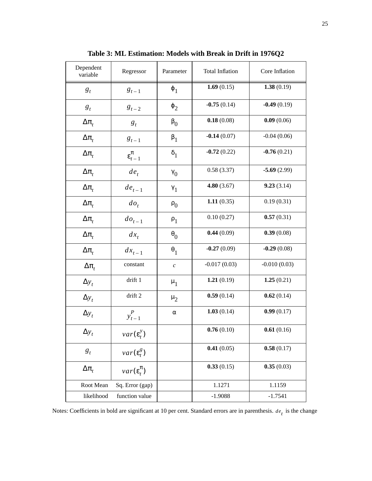| Dependent<br>variable | Regressor                  | Parameter        | <b>Total Inflation</b> | Core Inflation |
|-----------------------|----------------------------|------------------|------------------------|----------------|
| $g_t$                 | $g_{t-1}$                  | $\varphi_1$      | 1.69 $(0.15)$          | 1.38(0.19)     |
| $g_t$                 | $g_{t-2}$                  | $\varphi_2$      | $-0.75(0.14)$          | $-0.49(0.19)$  |
| $\Delta \pi_t$        | $g_t$                      | $\beta_0$        | 0.18(0.08)             | 0.09(0.06)     |
| $\Delta \pi_t$        | $g_{t-1}$                  | $\beta_1$        | $-0.14(0.07)$          | $-0.04(0.06)$  |
| $\Delta \pi_{t}$      | $\epsilon_{t-1}^{\pi}$     | $\delta_1$       | $-0.72(0.22)$          | $-0.76(0.21)$  |
| $\Delta \pi_{t}$      | $de_t$                     | $\gamma_0$       | 0.58(3.37)             | $-5.69(2.99)$  |
| $\Delta \pi_t$        | $de_{t-1}$                 | $\gamma_1$       | 4.80(3.67)             | 9.23(3.14)     |
| $\Delta \pi_t$        | $do_t$                     | $P_{0}$          | 1.11(0.35)             | 0.19(0.31)     |
| $\Delta \pi_t$        | $do_{t-1}$                 | $P_1$            | 0.10(0.27)             | 0.57(0.31)     |
| $\Delta \pi_t$        | $dx_t$                     | $\theta_0$       | 0.44(0.09)             | 0.39(0.08)     |
| $\Delta \pi_{t}$      | $dx_{t-1}$                 | $\theta_1$       | $-0.27(0.09)$          | $-0.29(0.08)$  |
| $\Delta \pi_{t}$      | constant                   | $\boldsymbol{c}$ | $-0.017(0.03)$         | $-0.010(0.03)$ |
| $\Delta y_t$          | drift 1                    | $\mu_1$          | 1.21 $(0.19)$          | 1.25(0.21)     |
| $\Delta y_t$          | drift 2                    | $\mu_2$          | 0.59(0.14)             | 0.62(0.14)     |
| $\Delta y_t$          | $y_{t-1}^P$                | $\alpha$         | 1.03(0.14)             | 0.99(0.17)     |
| $\Delta y_t$          | $var(\varepsilon_t^y)$     |                  | 0.76(0.10)             | 0.61(0.16)     |
| $g_t$                 | $var(\varepsilon_t^g)$     |                  | 0.41(0.05)             | 0.58(0.17)     |
| $\Delta \pi_{t}$      | $var(\varepsilon_t^{\pi})$ |                  | 0.33(0.15)             | 0.35(0.03)     |
| Root Mean             | Sq. Error (gap)            |                  | 1.1271                 | 1.1159         |
| likelihood            | function value             |                  | $-1.9088$              | $-1.7541$      |

**Table 3: ML Estimation: Models with Break in Drift in 1976Q2**

Notes: Coefficients in bold are significant at 10 per cent. Standard errors are in parenthesis.  $de_t$  is the change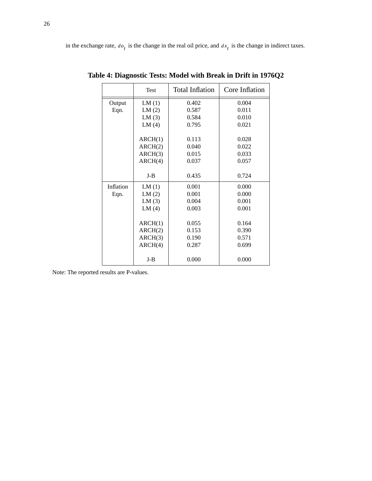|           | <b>Test</b> | <b>Total Inflation</b> | Core Inflation |
|-----------|-------------|------------------------|----------------|
| Output    | LM(1)       | 0.402                  | 0.004          |
| Eqn.      | LM(2)       | 0.587                  | 0.011          |
|           | LM(3)       | 0.584                  | 0.010          |
|           | LM(4)       | 0.795                  | 0.021          |
|           |             |                        |                |
|           | ARCH(1)     | 0.113                  | 0.028          |
|           | ARCH(2)     | 0.040                  | 0.022          |
|           | ARCH(3)     | 0.015                  | 0.033          |
|           | ARCH(4)     | 0.037                  | 0.057          |
|           | $J-B$       | 0.435                  | 0.724          |
| Inflation | LM(1)       | 0.001                  | 0.000          |
| Eqn.      | LM(2)       | 0.001                  | 0.000          |
|           | LM(3)       | 0.004                  | 0.001          |
|           | LM(4)       | 0.003                  | 0.001          |
|           |             |                        |                |
|           | ARCH(1)     | 0.055                  | 0.164          |
|           | ARCH(2)     | 0.153                  | 0.390          |
|           | ARCH(3)     | 0.190                  | 0.571          |
|           | ARCH(4)     | 0.287                  | 0.699          |
|           | $J-B$       | 0.000                  | 0.000          |

**Table 4: Diagnostic Tests: Model with Break in Drift in 1976Q2**

Note: The reported results are P-values.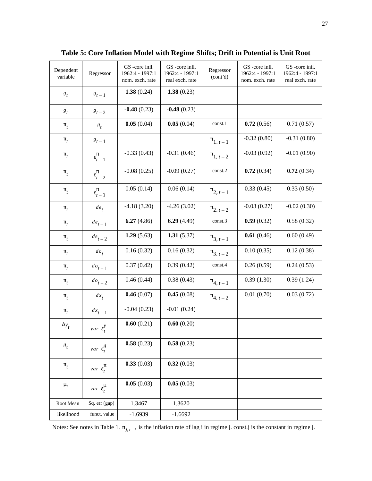| Dependent<br>variable | Regressor                        | GS-core infl.<br>1962:4 - 1997:1<br>nom. exch. rate | GS-core infl.<br>1962:4 - 1997:1<br>real exch. rate | Regressor<br>(cont'd) | GS-core infl.<br>1962:4 - 1997:1<br>nom. exch. rate | GS-core infl.<br>1962:4 - 1997:1<br>real exch. rate |
|-----------------------|----------------------------------|-----------------------------------------------------|-----------------------------------------------------|-----------------------|-----------------------------------------------------|-----------------------------------------------------|
| $s_t$                 | $s_{t-1}$                        | 1.38(0.24)                                          | 1.38(0.23)                                          |                       |                                                     |                                                     |
| $s_t$                 | $\mathcal{B}_{t-2}$              | $-0.48(0.23)$                                       | $-0.48(0.23)$                                       |                       |                                                     |                                                     |
| $\pi$ <sub>t</sub>    | $s_t$                            | 0.05(0.04)                                          | 0.05(0.04)                                          | const.1               | 0.72(0.56)                                          | 0.71(0.57)                                          |
| $\pi$ <sub>t</sub>    | $g_{t-1}$                        |                                                     |                                                     | $\pi_{1, t-1}$        | $-0.32(0.80)$                                       | $-0.31(0.80)$                                       |
| $\pi$ <sub>t</sub>    | $\epsilon_{t-1}^{\pi}$           | $-0.33(0.43)$                                       | $-0.31(0.46)$                                       | $\pi_{1, t-2}$        | $-0.03(0.92)$                                       | $-0.01(0.90)$                                       |
| $\pi$ <sub>t</sub>    | $\epsilon_{t-2}^{\pi}$           | $-0.08(0.25)$                                       | $-0.09(0.27)$                                       | const.2               | 0.72(0.34)                                          | 0.72(0.34)                                          |
| $\pi$ <sub>t</sub>    | $\epsilon_{t-3}^{\pi}$           | 0.05(0.14)                                          | 0.06(0.14)                                          | $\pi_{2, t-1}$        | 0.33(0.45)                                          | 0.33(0.50)                                          |
| $\pi$ <sub>t</sub>    | $de_t$                           | $-4.18(3.20)$                                       | $-4.26(3.02)$                                       | $\pi_{2, t-2}$        | $-0.03(0.27)$                                       | $-0.02(0.30)$                                       |
| $\pi$ <sub>t</sub>    | $de_{t-1}$                       | 6.27(4.86)                                          | 6.29(4.49)                                          | const.3               | 0.59(0.32)                                          | 0.58(0.32)                                          |
| $\pi$ <sub>t</sub>    | $de_{t-2}$                       | 1.29(5.63)                                          | 1.31(5.37)                                          | $\pi_{3, t-1}$        | 0.61(0.46)                                          | 0.60(0.49)                                          |
| $\pi$ <sub>t</sub>    | $do_t$                           | 0.16(0.32)                                          | 0.16(0.32)                                          | $\pi_{3, t-2}$        | 0.10(0.35)                                          | 0.12(0.38)                                          |
| $\pi$ <sub>t</sub>    | $do_{t-1}$                       | 0.37(0.42)                                          | 0.39(0.42)                                          | const.4               | 0.26(0.59)                                          | 0.24(0.53)                                          |
| $\pi$ <sub>t</sub>    | $d\mathbf{o}_{t-2}$              | 0.46(0.44)                                          | 0.38(0.43)                                          | $\pi_{4, t-1}$        | 0.39(1.30)                                          | 0.39(1.24)                                          |
| $\pi$ <sub>t</sub>    | $dx_t$                           | 0.46(0.07)                                          | 0.45(0.08)                                          | $\pi_{4, t-2}$        | 0.01(0.70)                                          | 0.03(0.72)                                          |
| $\pi$ <sub>t</sub>    | $dx_{t-1}$                       | $-0.04(0.23)$                                       | $-0.01(0.24)$                                       |                       |                                                     |                                                     |
| $\Delta y_t$          | $var(\epsilon_t^y)$              | 0.60(0.21)                                          | 0.60(0.20)                                          |                       |                                                     |                                                     |
| $\boldsymbol{s}_t$    | $var(\epsilon_t^g)$              | 0.58(0.23)                                          | 0.58(0.23)                                          |                       |                                                     |                                                     |
| $\pi$ <sub>t</sub>    | $var\big(\varepsilon_t^\pi\big)$ | 0.33(0.03)                                          | 0.32(0.03)                                          |                       |                                                     |                                                     |
| $\mu_t$               | $var(\varepsilon_t^{\mu})$       | 0.05(0.03)                                          | 0.05(0.03)                                          |                       |                                                     |                                                     |
| Root Mean             | Sq. err (gap)                    | 1.3467                                              | 1.3620                                              |                       |                                                     |                                                     |
| likelihood            | funct. value                     | $-1.6939$                                           | $-1.6692$                                           |                       |                                                     |                                                     |

**Table 5: Core Inflation Model with Regime Shifts; Drift in Potential is Unit Root**

Notes: See notes in Table 1.  $\pi_{j,t-i}$  is the inflation rate of lag i in regime j. const.j is the constant in regime j.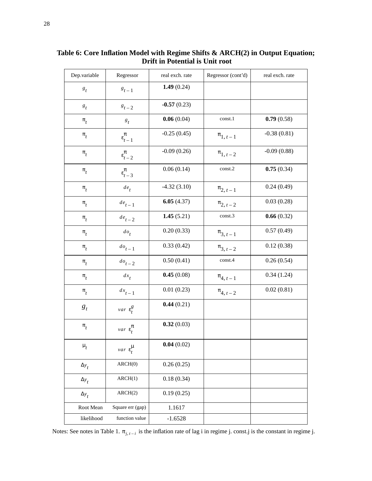| Dep.variable         | Regressor                  | real exch. rate | Regressor (cont'd) | real exch. rate |
|----------------------|----------------------------|-----------------|--------------------|-----------------|
| $\boldsymbol{s}_t$   | $\boldsymbol{s}_{t-1}$     | 1.49 $(0.24)$   |                    |                 |
| $s_t$                | $8t-2$                     | $-0.57(0.23)$   |                    |                 |
| $\pi$ <sub>t</sub>   | $s_t$                      | 0.06(0.04)      | const.1            | 0.79(0.58)      |
| $\pi$ <sub>t</sub>   | $\varepsilon_{t-1}^{\pi}$  | $-0.25(0.45)$   | $\pi_{1, t-1}$     | $-0.38(0.81)$   |
| $\pi$ <sub>t</sub>   | $\epsilon_{t-2}^{\pi}$     | $-0.09(0.26)$   | $\pi_{1, t-2}$     | $-0.09(0.88)$   |
| $\pi$ <sub>t</sub>   | $\epsilon_{t-3}^{\pi}$     | 0.06(0.14)      | $const.2$          | 0.75(0.34)      |
| $\pi$ <sub>t</sub>   | $de_t$                     | $-4.32(3.10)$   | $\pi_{2, t-1}$     | 0.24(0.49)      |
| $\boldsymbol{\pi}_t$ | $de_{t-1}$                 | 6.05(4.37)      | $\pi_{2, t-2}$     | 0.03(0.28)      |
| $\boldsymbol{\pi}_t$ | $de_{t-2}$                 | 1.45(5.21)      | const.3            | 0.66(0.32)      |
| $\boldsymbol{\pi}_t$ | $do_t$                     | 0.20(0.33)      | $\pi_{3, t-1}$     | 0.57(0.49)      |
| $\boldsymbol{\pi}_t$ | $do_{t-1}$                 | 0.33(0.42)      | $\pi_{3, t-2}$     | 0.12(0.38)      |
| $\pi_t$              | $do_{t-2}$                 | 0.50(0.41)      | const.4            | 0.26(0.54)      |
| $\pi$ <sub>t</sub>   | $dx_t$                     | 0.45(0.08)      | $\pi_{4, t-1}$     | 0.34(1.24)      |
| $\pi$ <sub>t</sub>   | $dx_{t-1}$                 | 0.01(0.23)      | $\pi_{4, t-2}$     | 0.02(0.81)      |
| $g_t$                | $var(\epsilon_t^g)$        | 0.44(0.21)      |                    |                 |
| $\pi_{_t}$           | $var(\varepsilon_t^{\pi})$ | 0.32(0.03)      |                    |                 |
| $\mu_t$              | $var(\varepsilon_t^{\mu})$ | 0.04(0.02)      |                    |                 |
| $\Delta y_t$         | ARCH(0)                    | 0.26(0.25)      |                    |                 |
| $\Delta y_t$         | ARCH(1)                    | 0.18(0.34)      |                    |                 |
| $\Delta y_t$         | ARCH(2)                    | 0.19(0.25)      |                    |                 |
| Root Mean            | Square err (gap)           | 1.1617          |                    |                 |
| likelihood           | function value             | $-1.6528$       |                    |                 |

**Table 6: Core Inflation Model with Regime Shifts & ARCH(2) in Output Equation; Drift in Potential is Unit root**

Notes: See notes in Table 1.  $\pi_{j,t-i}$  is the inflation rate of lag i in regime j. const.j is the constant in regime j.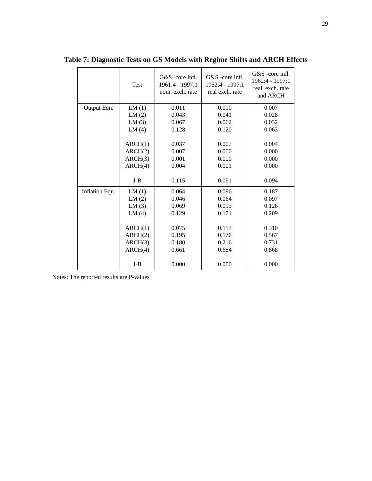|                | Test    | G&S -core infl.<br>1961:4 - 1997:1<br>nom. exch. rate | G&S -core infl.<br>1962:4 - 1997:1<br>real exch. rate | G&S -core infl.<br>1962:4 - 1997:1<br>real. exch. rate<br>and ARCH |
|----------------|---------|-------------------------------------------------------|-------------------------------------------------------|--------------------------------------------------------------------|
| Output Eqn.    | LM(1)   | 0.011                                                 | 0.010                                                 | 0.007                                                              |
|                | LM(2)   | 0.043                                                 | 0.041                                                 | 0.028                                                              |
|                | LM(3)   | 0.067                                                 | 0.062                                                 | 0.032                                                              |
|                | LM(4)   | 0.128                                                 | 0.120                                                 | 0.063                                                              |
|                |         |                                                       |                                                       |                                                                    |
|                | ARCH(1) | 0.037                                                 | 0.007                                                 | 0.004                                                              |
|                | ARCH(2) | 0.007                                                 | 0.000                                                 | 0.000                                                              |
|                | ARCH(3) | 0.001                                                 | 0.000                                                 | 0.000                                                              |
|                | ARCH(4) | 0.004                                                 | 0.001                                                 | 0.000                                                              |
|                | $J-B$   | 0.115                                                 | 0.091                                                 | 0.094                                                              |
| Inflation Eqn. | LM(1)   | 0.064                                                 | 0.096                                                 | 0.187                                                              |
|                | LM(2)   | 0.046                                                 | 0.064                                                 | 0.097                                                              |
|                | LM(3)   | 0.069                                                 | 0.095                                                 | 0.126                                                              |
|                | LM(4)   | 0.129                                                 | 0.171                                                 | 0.209                                                              |
|                |         |                                                       |                                                       |                                                                    |
|                | ARCH(1) | 0.075                                                 | 0.113                                                 | 0.310                                                              |
|                | ARCH(2) | 0.195                                                 | 0.176                                                 | 0.567                                                              |
|                | ARCH(3) | 0.180                                                 | 0.216                                                 | 0.731                                                              |
|                | ARCH(4) | 0.661                                                 | 0.684                                                 | 0.868                                                              |
|                | $J-B$   | 0.000                                                 | 0.000                                                 | 0.000                                                              |

**Table 7: Diagnostic Tests on GS Models with Regime Shifts and ARCH Effects**

Notes: The reported results are P-values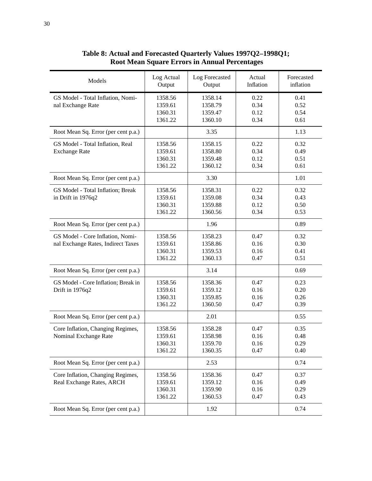| Models                                                                 | Log Actual<br>Output                     | Log Forecasted<br>Output                 | Actual<br>Inflation          | Forecasted<br>inflation      |
|------------------------------------------------------------------------|------------------------------------------|------------------------------------------|------------------------------|------------------------------|
| GS Model - Total Inflation, Nomi-<br>nal Exchange Rate                 | 1358.56<br>1359.61<br>1360.31<br>1361.22 | 1358.14<br>1358.79<br>1359.47<br>1360.10 | 0.22<br>0.34<br>0.12<br>0.34 | 0.41<br>0.52<br>0.54<br>0.61 |
| Root Mean Sq. Error (per cent p.a.)                                    |                                          | 3.35                                     |                              | 1.13                         |
| GS Model - Total Inflation, Real<br><b>Exchange Rate</b>               | 1358.56<br>1359.61<br>1360.31<br>1361.22 | 1358.15<br>1358.80<br>1359.48<br>1360.12 | 0.22<br>0.34<br>0.12<br>0.34 | 0.32<br>0.49<br>0.51<br>0.61 |
| Root Mean Sq. Error (per cent p.a.)                                    |                                          | 3.30                                     |                              | 1.01                         |
| GS Model - Total Inflation; Break<br>in Drift in 1976q2                | 1358.56<br>1359.61<br>1360.31<br>1361.22 | 1358.31<br>1359.08<br>1359.88<br>1360.56 | 0.22<br>0.34<br>0.12<br>0.34 | 0.32<br>0.43<br>0.50<br>0.53 |
| Root Mean Sq. Error (per cent p.a.)                                    |                                          | 1.96                                     |                              | 0.89                         |
| GS Model - Core Inflation, Nomi-<br>nal Exchange Rates, Indirect Taxes | 1358.56<br>1359.61<br>1360.31<br>1361.22 | 1358.23<br>1358.86<br>1359.53<br>1360.13 | 0.47<br>0.16<br>0.16<br>0.47 | 0.32<br>0.30<br>0.41<br>0.51 |
| Root Mean Sq. Error (per cent p.a.)                                    |                                          | 3.14                                     |                              | 0.69                         |
| GS Model - Core Inflation; Break in<br>Drift in 1976q2                 | 1358.56<br>1359.61<br>1360.31<br>1361.22 | 1358.36<br>1359.12<br>1359.85<br>1360.50 | 0.47<br>0.16<br>0.16<br>0.47 | 0.23<br>0.20<br>0.26<br>0.39 |
| Root Mean Sq. Error (per cent p.a.)                                    |                                          | 2.01                                     |                              | 0.55                         |
| Core Inflation, Changing Regimes,<br>Nominal Exchange Rate             | 1358.56<br>1359.61<br>1360.31<br>1361.22 | 1358.28<br>1358.98<br>1359.70<br>1360.35 | 0.47<br>0.16<br>0.16<br>0.47 | 0.35<br>0.48<br>0.29<br>0.40 |
| Root Mean Sq. Error (per cent p.a.)                                    |                                          | 2.53                                     |                              | 0.74                         |
| Core Inflation, Changing Regimes,<br>Real Exchange Rates, ARCH         | 1358.56<br>1359.61<br>1360.31<br>1361.22 | 1358.36<br>1359.12<br>1359.90<br>1360.53 | 0.47<br>0.16<br>0.16<br>0.47 | 0.37<br>0.49<br>0.29<br>0.43 |
| Root Mean Sq. Error (per cent p.a.)                                    |                                          | 1.92                                     |                              | 0.74                         |

**Table 8: Actual and Forecasted Quarterly Values 1997Q2–1998Q1; Root Mean Square Errors in Annual Percentages**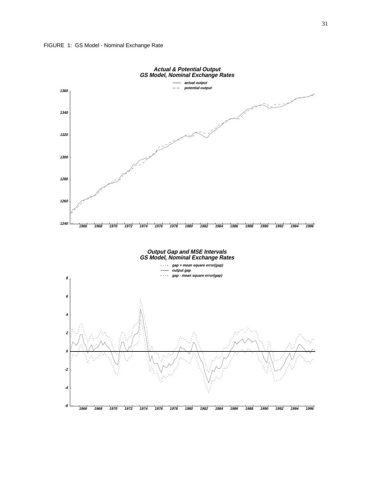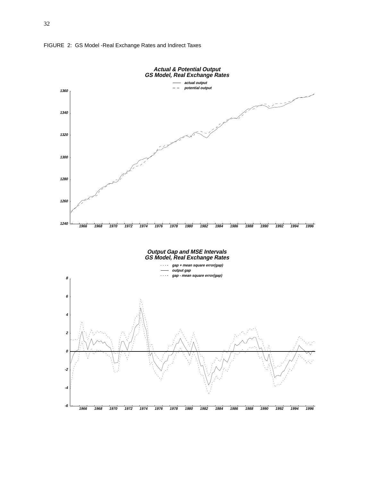

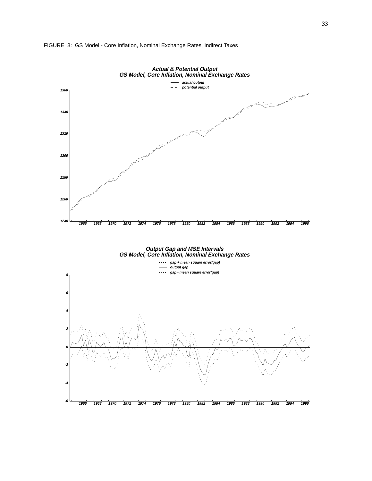

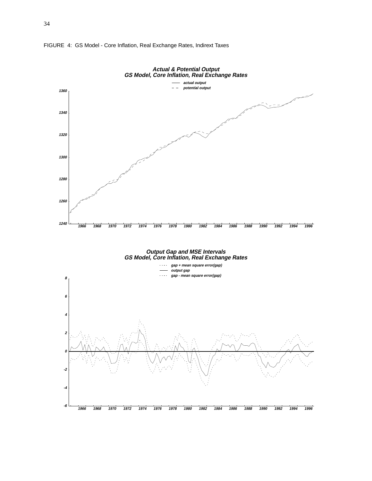

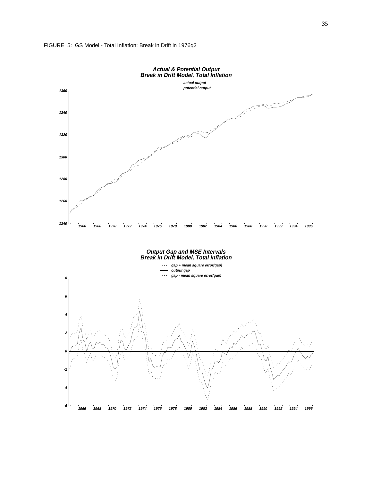

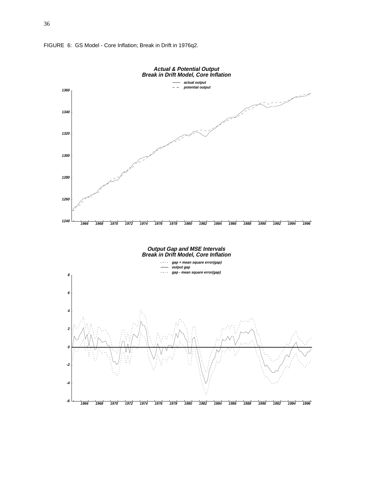

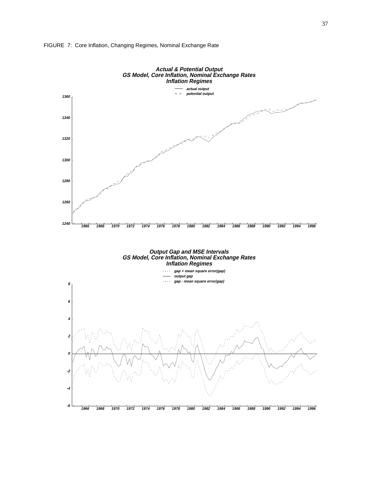

#### FIGURE 7: Core Inflation, Changing Regimes, Nominal Exchange Rate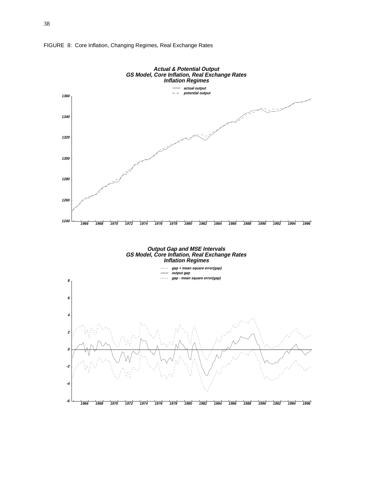

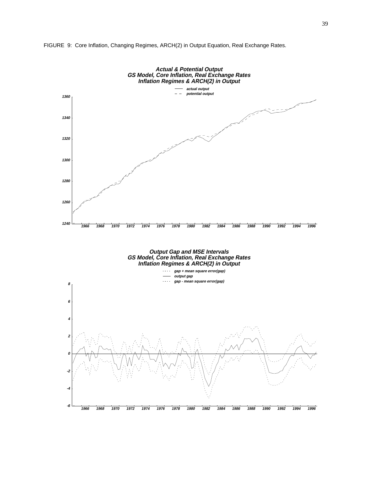

FIGURE 9: Core Inflation, Changing Regimes, ARCH(2) in Output Equation, Real Exchange Rates.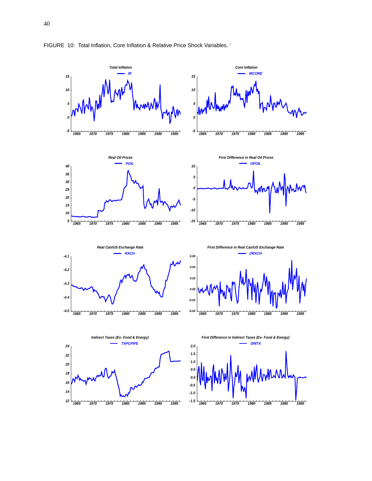